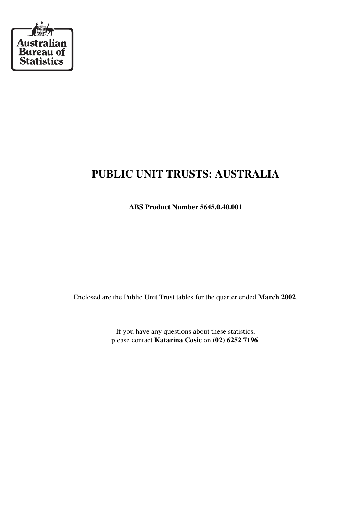

# **PUBLIC UNIT TRUSTS: AUSTRALIA**

**ABS Product Number 5645.0.40.001**

Enclosed are the Public Unit Trust tables for the quarter ended **March 2002**.

If you have any questions about these statistics, please contact **Katarina Cosic** on **(02) 6252 7196**.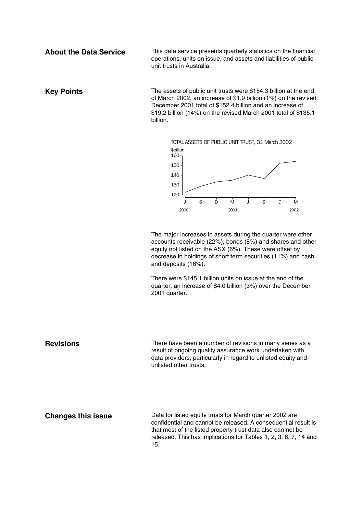**About the Data Service** This data service presents quarterly statistics on the financial operations, units on issue, and assets and liabilities of public unit trusts in Australia.

**Key Points** The assets of public unit trusts were \$154.3 billion at the end of March 2002, an increase of \$1.9 billion (1%) on the revised December 2001 total of \$152.4 billion and an increase of \$19.2 billion (14%) on the revised March 2001 total of \$135.1 billion.



The major increases in assets during the quarter were other accounts receivable (22%), bonds (8%) and shares and other equity not listed on the ASX (6%). These were offset by decrease in holdings of short term securities (11%) and cash and deposits (16%).

There were \$145.1 billion units on issue at the end of the quarter, an increase of \$4.0 billion (3%) over the December 2001 quarter.

**Revisions** There have been a number of revisions in many series as a result of ongoing quality assurance work undertaken with data providers, particularly in regard to unlisted equity and unlisted other trusts.

**Changes this issue** Data for listed equity trusts for March quarter 2002 are confidential and cannot be released. A consequential result is that most of the listed property trust data also can not be released. This has implications for Tables 1, 2, 3, 6, 7, 14 and 15.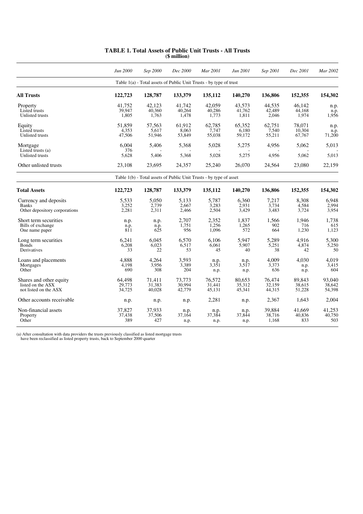|                                                                        | Jun 2000                   | Sep 2000                   | Dec 2000                   | Mar 2001                                                           | Jun 2001                   | Sep 2001                   | Dec 2001                   | Mar 2002                   |
|------------------------------------------------------------------------|----------------------------|----------------------------|----------------------------|--------------------------------------------------------------------|----------------------------|----------------------------|----------------------------|----------------------------|
|                                                                        |                            |                            |                            | Table 1(a) - Total assets of Public Unit Trusts - by type of trust |                            |                            |                            |                            |
| <b>All Trusts</b>                                                      | 122,723                    | 128,787                    | 133,379                    | 135,112                                                            | 140,270                    | 136,806                    | 152,355                    | 154,302                    |
| Property<br>Listed trusts<br>Unlisted trusts                           | 41.752<br>39,947<br>1,805  | 42.123<br>40,360<br>1,763  | 41.742<br>40,264<br>1,478  | 42.059<br>40,286<br>1,773                                          | 43.573<br>41.762<br>1,811  | 44.535<br>42,489<br>2,046  | 46.142<br>44,168<br>1,974  | n.p.<br>n.p.<br>1,956      |
| Equity<br>Listed trusts<br>Unlisted trusts                             | 51,859<br>4,353<br>47,506  | 57,563<br>5,617<br>51,946  | 61,912<br>8,063<br>53,849  | 62,785<br>7,747<br>55,038                                          | 65,352<br>6,180<br>59,172  | 62,751<br>7,540<br>55,211  | 78,071<br>10.304<br>67,767 | n.p.<br>n.p.<br>71,200     |
| Mortgage<br>Listed trusts (a)                                          | 6,004<br>376               | 5,406                      | 5,368                      | 5,028                                                              | 5,275                      | 4,956                      | 5,062                      | 5,013                      |
| <b>Unlisted trusts</b>                                                 | 5.628                      | 5,406                      | 5,368                      | 5,028                                                              | 5,275                      | 4,956                      | 5,062                      | 5,013                      |
| Other unlisted trusts                                                  | 23,108                     | 23,695                     | 24,357                     | 25,240                                                             | 26,070                     | 24,564                     | 23,080                     | 22,159                     |
|                                                                        |                            |                            |                            | Table 1(b) - Total assets of Public Unit Trusts - by type of asset |                            |                            |                            |                            |
| <b>Total Assets</b>                                                    | 122,723                    | 128,787                    | 133,379                    | 135,112                                                            | 140,270                    | 136,806                    | 152,355                    | 154,302                    |
| Currency and deposits<br><b>Banks</b><br>Other depository corporations | 5.533<br>3,252<br>2,281    | 5,050<br>2,739<br>2,311    | 5,133<br>2,667<br>2,466    | 5.787<br>3,283<br>2,504                                            | 6.360<br>2,931<br>3,429    | 7.217<br>3,734<br>3,483    | 8.308<br>4,584<br>3,724    | 6.948<br>2,994<br>3,954    |
| Short term securities<br>Bills of exchange<br>One name paper           | n.p.<br>n.p.<br>811        | n.p.<br>n.p.<br>625        | 2,707<br>1,751<br>956      | 2,352<br>1,256<br>1,096                                            | 1,837<br>1,265<br>572      | 1,566<br>902<br>664        | 1,946<br>716<br>1,230      | 1,738<br>615<br>1,123      |
| Long term securities<br><b>Bonds</b><br>Derivatives                    | 6,241<br>6.208<br>33       | 6.045<br>6,023<br>22       | 6.570<br>6,517<br>53       | 6.106<br>6,061<br>45                                               | 5.947<br>5,907<br>40       | 5,289<br>5,251<br>38       | 4.916<br>4,874<br>42       | 5,300<br>5,250<br>50       |
| Loans and placements<br>Mortgages<br>Other                             | 4,888<br>4,198<br>690      | 4,264<br>3,956<br>308      | 3,593<br>3,389<br>204      | n.p.<br>3,351<br>n.p.                                              | n.p.<br>3,517<br>n.p.      | 4,009<br>3,373<br>636      | 4,030<br>n.p.<br>n.p.      | 4,019<br>3,415<br>604      |
| Shares and other equity<br>listed on the ASX<br>not listed on the ASX  | 64.498<br>29.773<br>34,725 | 71,411<br>31.383<br>40,028 | 73,773<br>30.994<br>42,779 | 76,572<br>31.441<br>45,131                                         | 80,653<br>35.312<br>45,341 | 76,474<br>32.159<br>44,315 | 89,843<br>38.615<br>51,228 | 93,040<br>38.642<br>54,398 |
| Other accounts receivable                                              | n.p.                       | n.p.                       | n.p.                       | 2,281                                                              | n.p.                       | 2,367                      | 1,643                      | 2,004                      |
| Non-financial assets<br>Property<br>Other                              | 37,827<br>37,438<br>389    | 37,933<br>37,506<br>427    | n.p.<br>37,164<br>n.p.     | n.p.<br>37,384<br>n.p.                                             | n.p.<br>37,844<br>n.p.     | 39,884<br>38,716<br>1,168  | 41,669<br>40,836<br>833    | 41,253<br>40,750<br>503    |

#### **TABLE 1. Total Assets of Public Unit Trusts - All Trusts (\$ million)**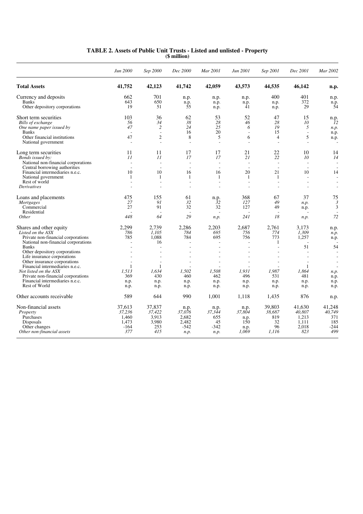|                                                                           | Jun 2000                 | Sep 2000                 | Dec 2000                 | Mar 2001                 | Jun 2001                 | Sep 2001                 | Dec 2001                 | Mar 2002        |
|---------------------------------------------------------------------------|--------------------------|--------------------------|--------------------------|--------------------------|--------------------------|--------------------------|--------------------------|-----------------|
| <b>Total Assets</b>                                                       | 41,752                   | 42,123                   | 41,742                   | 42,059                   | 43,573                   | 44,535                   | 46,142                   | n.p.            |
| Currency and deposits                                                     | 662                      | 701                      | n.p.                     | n.p.                     | n.p.                     | 400                      | 401                      | n.p.            |
| <b>Banks</b><br>Other depository corporations                             | 643<br>19                | 650<br>51                | n.p.<br>55               | n.p.<br>n.p.             | n.p.<br>41               | n.p.<br>n.p.             | 372<br>29                | n.p.<br>54      |
| Short term securities                                                     | 103                      | 36                       | 62                       | 53                       | 52                       | 47                       | 15                       | n.p.            |
| Bills of exchange                                                         | 56                       | 34                       | 38                       | 28                       | 46                       | 28                       | 10                       | $\overline{1}2$ |
| One name paper issued by                                                  | 47                       | $\overline{c}$           | 24                       | 25                       | 6                        | 19                       | 5                        | n.p.            |
| <b>Banks</b>                                                              |                          | $\overline{a}$           | 16                       | 20                       | $\overline{\phantom{a}}$ | 15                       | $\overline{a}$           | n.p.            |
| Other financial institutions<br>National government                       | 47<br>$\overline{a}$     | $\overline{c}$<br>÷.     | 8<br>÷.                  | 5<br>$\sim$              | 6<br>÷                   | $\overline{4}$<br>÷.     | 5<br>$\overline{a}$      | n.p.            |
|                                                                           |                          | 11                       | 17                       | 17                       | 21                       | 22                       | 10                       |                 |
| Long term securities<br>Bonds issued by:                                  | 11<br>11                 | 11                       | 17                       | 17                       | 21                       | 22                       | 10                       | 14<br>14        |
| National non-financial corporations                                       | $\sim$                   | $\overline{\phantom{a}}$ | $\sim$                   | $\overline{\phantom{a}}$ | $\overline{\phantom{a}}$ | $\overline{\phantom{a}}$ | $\overline{\phantom{a}}$ |                 |
| Central borrowing authorities                                             | $\overline{\phantom{a}}$ | $\overline{a}$           | $\overline{\phantom{a}}$ | $\overline{a}$           | $\sim$                   | $\overline{a}$           | $\overline{a}$           |                 |
| Financial intermediaries n.e.c.                                           | 10                       | 10                       | 16                       | 16                       | 20                       | 21                       | 10                       | 14              |
| National government                                                       | $\mathbf{1}$             | 1                        | $\mathbf{1}$             | 1                        | $\mathbf{1}$             | $\overline{1}$           | $\overline{a}$           |                 |
| Rest of world                                                             | $\overline{\phantom{a}}$ | L,                       | ÷.                       | $\overline{a}$           | $\overline{a}$           | $\sim$                   | $\overline{a}$           |                 |
| <b>Derivatives</b>                                                        |                          |                          |                          | L.                       | $\overline{a}$           |                          | $\overline{a}$           | $\sim$          |
| Loans and placements                                                      | 475                      | 155                      | 61                       | n.p.                     | 368                      | 67                       | 37                       | 75              |
| Mortgages                                                                 | 27                       | 91                       | 32                       | 32                       | 127                      | 49                       | n.p.                     | 3               |
| Commercial                                                                | 27                       | 91                       | 32                       | 32                       | 127                      | 49                       | n.p.                     | 3               |
| Residential<br><i>Other</i>                                               | 448                      | 64                       | 29                       | $\overline{\phantom{a}}$ | 241                      | 18                       | $\overline{a}$           | 72              |
|                                                                           |                          |                          |                          | n.p.                     |                          |                          | n.p.                     |                 |
| Shares and other equity                                                   | 2.299                    | 2.739                    | 2,286                    | 2,203                    | 2.687                    | 2.761                    | 3.173                    | n.p.            |
| Listed on the ASX                                                         | 786                      | 1.105                    | 784                      | 695                      | 756                      | 774                      | 1.309                    | n.p.            |
| Private non-financial corporations<br>National non-financial corporations | 785                      | 1.088<br>16              | 784                      | 695<br>$\overline{a}$    | 756<br>$\overline{a}$    | 773<br>$\mathbf{1}$      | 1,257                    | n.p.            |
| <b>Banks</b>                                                              |                          |                          |                          | $\overline{a}$           | ÷,                       |                          | 51                       | 54              |
| Other depository corporations                                             |                          |                          |                          |                          |                          |                          |                          |                 |
| Life insurance corporations                                               |                          |                          |                          |                          |                          |                          |                          |                 |
| Other insurance corporations                                              |                          | $\overline{\phantom{a}}$ |                          | $\overline{a}$           | $\overline{a}$           |                          | $\overline{a}$           |                 |
| Financial intermediaries n.e.c.                                           | -1                       | 1                        |                          |                          |                          |                          | 1                        |                 |
| Not listed on the ASX                                                     | 1,513                    | 1.634                    | 1,502                    | 1,508                    | 1,931                    | 1,987                    | 1,864                    | n.p.            |
| Private non-financial corporations<br>Financial intermediaries n.e.c.     | 369                      | 430                      | 460                      | 462                      | 496                      | 531                      | 481                      | n.p.            |
| Rest of World                                                             | n.p.<br>n.p.             | n.p.<br>n.p.             | n.p.<br>n.p.             | n.p.<br>n.p.             | n.p.<br>n.p.             | n.p.<br>n.p.             | n.p.<br>n.p.             | n.p.<br>n.p.    |
| Other accounts receivable                                                 | 589                      | 644                      | 990                      | 1.001                    | 1.118                    | 1,435                    | 876                      | n.p.            |
| Non-financial assets                                                      | 37.613                   | 37,837                   | n.p.                     | n.p.                     | n.p.                     | 39.803                   | 41.630                   | 41.248          |
| Property                                                                  | 37,236                   | 37,422                   | 37,076                   | 37,344                   | 37,804                   | 38,687                   | 40,807                   | 40,749          |
| Purchases                                                                 | 1,460                    | 3,913                    | 2,682                    | 655                      | n.p.                     | 819                      | 1,213                    | 371             |
| Disposals                                                                 | 1,473                    | 3,980                    | 2.482                    | 45                       | 150                      | 32                       | 1.111                    | 185             |
| Other changes                                                             | $-164$                   | 253                      | $-542$                   | $-342$                   | n.p.                     | 96                       | 2,018                    | -244            |
| Other non-financial assets                                                | 377                      | 415                      | n.p.                     | n.p.                     | 1,069                    | 1,116                    | 823                      | 499             |

#### **TABLE 2. Assets of Public Unit Trusts - Listed and unlisted - Property (\$ million)**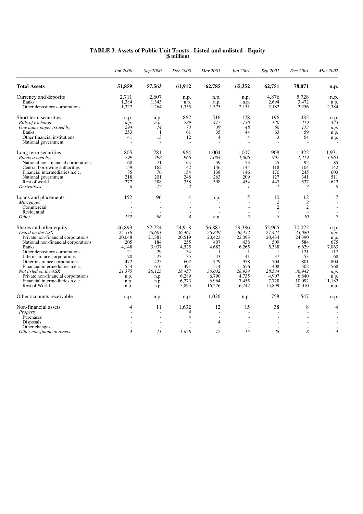|                                                             | Jun 2000       | Sep 2000                 | Dec 2000       | Mar 2001                 | Jun 2001                 | Sep 2001                 | Dec 2001        | Mar 2002       |
|-------------------------------------------------------------|----------------|--------------------------|----------------|--------------------------|--------------------------|--------------------------|-----------------|----------------|
| <b>Total Assets</b>                                         | 51,859         | 57,563                   | 61,912         | 62,785                   | 65,352                   | 62,751                   | 78,071          | n.p.           |
| Currency and deposits                                       | 2.711          | 2.607                    | n.p.           | n.p.                     | n.p.                     | 4,876                    | 5.728           | n.p.           |
| <b>Banks</b>                                                | 1,384          | 1,343                    | n.p.           | n.p.                     | n.p.                     | 2,694                    | 3,472           | n.p.           |
| Other depository corporations                               | 1,327          | 1,264                    | 1,355          | 1,375                    | 2,151                    | 2,182                    | 2,256           | 2,384          |
| Short term securities                                       | n.p.           | n.p.                     | 862            | 516                      | 178                      | 196                      | 432             | n.p.           |
| Bills of exchange                                           | n.p.           | n.p.                     | 789            | 477                      | 130                      | 130                      | 319             | 443            |
| One name paper issued by                                    | 294            | 14                       | 73             | 39                       | 48                       | 66                       | 113             | n.p.           |
| <b>Banks</b>                                                | 253            | -1                       | 61             | 35                       | 44                       | 63                       | 59              | n.p.           |
| Other financial institutions                                | 41             | 13                       | 12             | $\overline{4}$           | $\overline{4}$           | 3                        | 54              | n.p.           |
| National government                                         |                | $\overline{a}$           | L,             | L,                       |                          |                          | $\overline{a}$  |                |
| Long term securities                                        | 805            | 781                      | 964            | 1.004                    | 1.007                    | 908                      | 1.322           | 1.971          |
| Bonds issued by:                                            | 799            | 798                      | 966            | 1,004                    | 1,006                    | 907                      | 1,319           | 1,963          |
| National non-financial corporations                         | 60             | 71                       | 64             | 59                       | 53                       | 45                       | 92              | 85             |
| Central borrowing authorities                               | 159            | 162                      | 142            | 146                      | 144                      | 118                      | 104             | 142            |
| Financial intermediaries n.e.c.                             | 85             | 76                       | 154            | 138                      | 146                      | 170                      | 245             | 603            |
| National government                                         | 218            | 201                      | 248            | 263                      | 209                      | 127                      | 341             | 511            |
| Rest of world                                               | 277            | 288                      | 358            | 398                      | 454                      | 447                      | 537             | 622            |
| <i>Derivatives</i>                                          | 6              | $-17$                    | $-2$           | $\overline{\phantom{a}}$ | $\mathcal{I}$            | $\mathcal{I}$            | $\mathfrak{Z}$  | 8              |
| Loans and placements                                        | 152            | 96                       | 4              | n.p.                     | 5                        | 10                       | 12              | 7              |
| <i>Mortgages</i>                                            |                |                          |                |                          | $\overline{a}$           | $\overline{c}$           | $\overline{2}$  |                |
| Commercial                                                  | $\overline{a}$ | $\overline{a}$           |                | $\overline{\phantom{a}}$ |                          | $\overline{2}$           | $\overline{2}$  |                |
| Residential                                                 |                |                          | L.             | ÷,                       | $\overline{a}$           | $\overline{\phantom{a}}$ | $\sim$          |                |
| Other                                                       | 152            | 96                       | $\overline{4}$ | n.p.                     | 5                        | 8                        | 10 <sup>2</sup> | $\overline{7}$ |
| Shares and other equity                                     | 46.893         | 52.724                   | 54.918         | 56.881                   | 59.386                   | 55,965                   | 70.022          | n.p.           |
| Listed on the ASX                                           | 25,518         | 26.601                   | 26.461         | 26.849                   | 30.452                   | 27,431                   | 33.080          | n.p.           |
| Private non-financial corporations                          | 20,048         | 21,387                   | 20,519         | 20,423                   | 22,093                   | 20,434                   | 24,390          | n.p.           |
| National non-financial corporations                         | 205            | 184                      | 255            | 407                      | 438                      | 509                      | 584             | 675            |
| <b>Banks</b>                                                | 4,148          | 3,937                    | 4,525          | 4,682                    | 6,265                    | 5,338                    | 6,629           | 7,063          |
| Other depository corporations                               | 21             | 29                       | 34             | 1                        | -1                       | -1                       | 121             | 117            |
| Life insurance corporations                                 | 70             | 23                       | 35             | 43                       | 41                       | 37                       | 53              | 68             |
| Other insurance corporations                                | 472            | 425                      | 602            | 779                      | 958                      | 704                      | 801             | 804            |
| Financial intermediaries n.e.c.                             | 554<br>21,375  | 616                      | 491<br>28,457  | 514<br>30.032            | 656<br>28.934            | 408<br>28,534            | 502<br>36.942   | 568            |
| Not listed on the ASX<br>Private non-financial corporations |                | 26,123                   | 6,289          | 6.790                    | 4.735                    | 4.907                    | 6.840           | n.p.           |
| Financial intermediaries n.e.c.                             | n.p.           | n.p.                     | 6,273          | 6,964                    | 7,455                    | 7,728                    | 10,092          | n.p.<br>11,182 |
| Rest of World                                               | n.p.<br>n.p.   | n.p.<br>n.p.             | 15,895         | 16,276                   | 16,742                   | 15,899                   | 20,010          | n.p.           |
|                                                             |                |                          |                |                          |                          |                          |                 |                |
| Other accounts receivable                                   | n.p.           | n.p.                     | n.p.           | 1,026                    | n.p.                     | 758                      | 547             | n.p.           |
| Non-financial assets                                        | 4              | 11                       | 1.632          | 12                       | 15                       | 38                       | 8               | 4              |
| Property                                                    |                | $\overline{a}$           | $\overline{4}$ | $\overline{a}$           | $\overline{a}$           |                          | $\overline{a}$  |                |
| Purchases                                                   |                |                          | $\overline{4}$ | Ĭ.                       |                          |                          |                 |                |
| Disposals                                                   |                | $\overline{a}$           |                | 4                        | $\overline{\phantom{a}}$ |                          |                 |                |
| Other changes                                               |                | $\overline{\phantom{a}}$ |                |                          | $\overline{\phantom{a}}$ |                          |                 |                |
| Other non-financial assets                                  | $\overline{4}$ | 11                       | 1,628          | 12                       | 15                       | 38                       | 8               | $\overline{4}$ |

#### **TABLE 3. Assets of Public Unit Trusts - Listed and unlisted - Equity (\$ million)**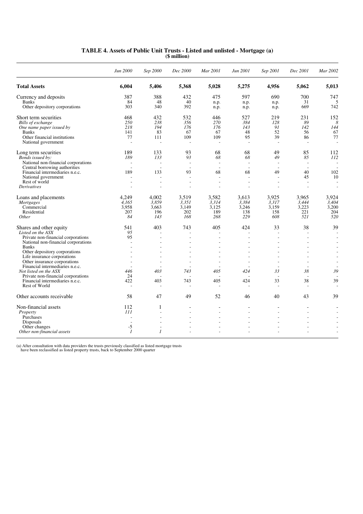|                                                                 | Jun 2000       | Sep 2000                 | Dec 2000                 | Mar 2001                                             | Jun 2001              | Sep 2001                 | Dec 2001                 | Mar 2002                       |
|-----------------------------------------------------------------|----------------|--------------------------|--------------------------|------------------------------------------------------|-----------------------|--------------------------|--------------------------|--------------------------------|
| <b>Total Assets</b>                                             | 6,004          | 5,406                    | 5,368                    | 5,028                                                | 5,275                 | 4,956                    | 5,062                    | 5,013                          |
| Currency and deposits                                           | 387            | 388                      | 432                      | 475                                                  | 597                   | 690                      | 700                      | 747                            |
| <b>Banks</b>                                                    | 84             | 48                       | 40                       | n.p.                                                 | n.p.                  | n.p.                     | 31                       | 5                              |
| Other depository corporations                                   | 303            | 340                      | 392                      | n.p.                                                 | n.p.                  | n.p.                     | 669                      | 742                            |
| Short term securities                                           | 468            | 432                      | 532                      | 446                                                  | 527                   | 219                      | 231                      | 152                            |
| Bills of exchange                                               | 250            | 238                      | 356                      | 270                                                  | 384                   | 128                      | 89                       | 8                              |
| One name paper issued by                                        | 218            | 194                      | 176                      | 176                                                  | 143                   | 91                       | 142                      | 144                            |
| <b>Banks</b>                                                    | 141            | 83                       | 67                       | 67                                                   | 48                    | 52                       | 56                       | 67                             |
| Other financial institutions                                    | 77             | 111                      | 109                      | 109                                                  | 95                    | 39                       | 86                       | 77                             |
| National government                                             | $\sim$         | $\overline{\phantom{a}}$ | $\overline{\phantom{a}}$ | ÷,                                                   |                       |                          | $\overline{\phantom{a}}$ |                                |
| Long term securities                                            | 189            | 133                      | 93                       | 68                                                   | 68                    | 49                       | 85                       | 112                            |
| Bonds issued by:                                                | 189            | 133                      | 93                       | 68                                                   | 68                    | 49                       | 85                       | 112                            |
| National non-financial corporations                             |                | $\overline{a}$           |                          | L,                                                   | $\sim$                |                          | $\overline{a}$           |                                |
| Central borrowing authorities                                   | $\overline{a}$ | $\overline{\phantom{a}}$ | $\overline{\phantom{a}}$ | $\overline{a}$                                       | $\tilde{\phantom{a}}$ | $\overline{a}$           | $\overline{\phantom{a}}$ |                                |
| Financial intermediaries n.e.c.                                 | 189            | 133<br>$\overline{a}$    | 93                       | 68                                                   | 68<br>÷               | 49                       | 40                       | 102                            |
| National government<br>Rest of world                            |                | $\overline{a}$           | $\overline{\phantom{a}}$ | $\overline{\phantom{a}}$<br>$\overline{\phantom{a}}$ | ٠                     | $\overline{\phantom{a}}$ | 45<br>$\overline{a}$     | 10<br>$\overline{\phantom{a}}$ |
| Derivatives                                                     |                |                          |                          |                                                      |                       |                          |                          |                                |
| Loans and placements                                            | 4,249          | 4,002                    | 3,519                    | 3,582                                                | 3,613                 | 3,925                    | 3,965                    | 3,924                          |
| <b>Mortgages</b>                                                | 4.165          | 3.859                    | 3.351                    | 3.314                                                | 3.384                 | 3.317                    | 3.444                    | 3.404                          |
| Commercial                                                      | 3.958          | 3.663                    | 3.149                    | 3.125                                                | 3,246                 | 3.159                    | 3,223                    | 3,200                          |
| Residential                                                     | 207            | 196                      | 202                      | 189                                                  | 138                   | 158                      | 221                      | 204                            |
| Other                                                           | 84             | 143                      | 168                      | 268                                                  | 229                   | 608                      | 521                      | 520                            |
| Shares and other equity                                         | 541            | 403                      | 743                      | 405                                                  | 424                   | 33                       | 38                       | 39                             |
| Listed on the ASX                                               | 95             |                          |                          |                                                      |                       |                          |                          |                                |
| Private non-financial corporations                              | 95             |                          |                          |                                                      |                       |                          |                          |                                |
| National non-financial corporations                             | $\overline{a}$ | $\overline{a}$           |                          | $\overline{a}$                                       | $\overline{a}$        |                          | $\overline{a}$           |                                |
| <b>Banks</b>                                                    |                |                          |                          |                                                      |                       |                          |                          |                                |
| Other depository corporations                                   |                |                          |                          |                                                      |                       |                          |                          |                                |
| Life insurance corporations                                     |                |                          |                          | $\overline{\phantom{a}}$                             |                       |                          |                          |                                |
| Other insurance corporations<br>Financial intermediaries n.e.c. |                | $\overline{\phantom{a}}$ |                          | $\overline{\phantom{a}}$                             | $\overline{a}$        |                          |                          |                                |
| Not listed on the ASX                                           | 446            | 403                      | 743                      | 405                                                  | 424                   | 33                       | 38                       | 39                             |
| Private non-financial corporations                              | 24             |                          |                          |                                                      |                       |                          | $\overline{\phantom{a}}$ |                                |
| Financial intermediaries n.e.c.                                 | 422            | 403                      | 743                      | 405                                                  | 424                   | 33                       | 38                       | 39                             |
| Rest of World                                                   | $\overline{a}$ | $\overline{a}$           | $\overline{a}$           | $\overline{a}$                                       |                       | ÷.                       | $\overline{a}$           |                                |
| Other accounts receivable                                       | 58             | 47                       | 49                       | 52                                                   | 46                    | 40                       | 43                       | 39                             |
| Non-financial assets                                            | 112            | 1                        |                          | $\blacksquare$                                       | $\overline{a}$        |                          | $\overline{a}$           |                                |
| Property                                                        | III            | $\overline{a}$           |                          | $\overline{a}$                                       | $\overline{a}$        |                          |                          |                                |
| Purchases                                                       |                | $\overline{\phantom{a}}$ |                          | $\overline{\phantom{a}}$                             | $\overline{a}$        |                          |                          |                                |
| Disposals                                                       |                |                          |                          |                                                      |                       |                          |                          |                                |
| Other changes                                                   | $-5$           |                          |                          |                                                      |                       |                          |                          |                                |
| Other non-financial assets                                      | $\mathcal{I}$  | $\overline{I}$           |                          |                                                      |                       |                          |                          |                                |

#### **TABLE 4. Assets of Public Unit Trusts - Listed and unlisted - Mortgage (a) (\$ million)**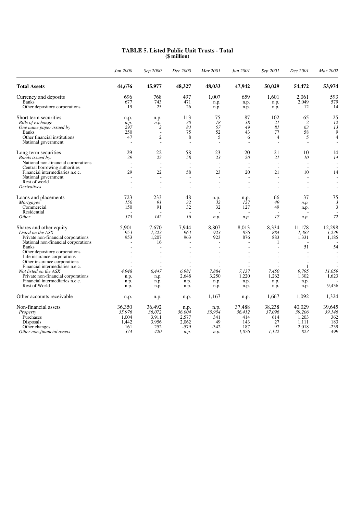|                                                                  | Jun 2000                 | Sep 2000                 | Dec 2000                       | Mar 2001                 | Jun 2001                       | Sep 2001                       | Dec 2001                 | Mar 2002       |
|------------------------------------------------------------------|--------------------------|--------------------------|--------------------------------|--------------------------|--------------------------------|--------------------------------|--------------------------|----------------|
| <b>Total Assets</b>                                              | 44,676                   | 45,977                   | 48,327                         | 48,033                   | 47,942                         | 50,029                         | 54,472                   | 53,974         |
| Currency and deposits                                            | 696                      | 768                      | 497                            | 1.007                    | 659                            | 1.601                          | 2.061                    | 593            |
| <b>Banks</b><br>Other depository corporations                    | 677<br>19                | 743<br>25                | 471<br>26                      | n.p.<br>n.p.             | n.p.<br>n.p.                   | n.p.<br>n.p.                   | 2,049<br>12              | 579<br>14      |
| Short term securities                                            | n.p.                     | n.p.                     | 113                            | 75                       | 87                             | 102                            | 65                       | 25             |
| Bills of exchange                                                | n.p.                     | n.p.                     | 30                             | 18                       | 38                             | 21                             | $\overline{2}$           | 12             |
| One name paper issued by<br><b>Banks</b>                         | 297<br>250               | 2<br>$\overline{a}$      | 83<br>75                       | 57<br>52                 | 49<br>43                       | 81<br>77                       | 63<br>58                 | 13<br>9        |
| Other financial institutions                                     | 47                       | $\overline{2}$           | 8                              | 5                        | 6                              | $\overline{4}$                 | 5                        | $\overline{4}$ |
| National government                                              |                          | L,                       |                                | $\overline{\phantom{a}}$ | $\sim$                         |                                | $\overline{a}$           |                |
| Long term securities                                             | 29                       | 22                       | 58                             | 23                       | 20                             | 21                             | 10                       | 14             |
| Bonds issued by:                                                 | 29                       | 22                       | 58                             | 23                       | 20                             | 21                             | 10                       | 14             |
| National non-financial corporations                              |                          | $\overline{\phantom{a}}$ |                                | $\sim$                   | $\sim$                         |                                | $\overline{a}$           |                |
| Central borrowing authorities<br>Financial intermediaries n.e.c. | $\overline{a}$<br>29     | ÷.<br>22                 | $\overline{\phantom{a}}$<br>58 | $\overline{a}$<br>23     | $\overline{\phantom{a}}$<br>20 | $\overline{\phantom{a}}$<br>21 | $\overline{a}$<br>10     | 14             |
| National government                                              |                          | $\overline{a}$           |                                | $\overline{a}$           |                                |                                |                          |                |
| Rest of world                                                    | $\overline{\phantom{a}}$ | ÷                        | $\overline{\phantom{a}}$       | $\overline{a}$           | $\overline{\phantom{a}}$       | $\overline{a}$                 | $\overline{\phantom{a}}$ |                |
| <i>Derivatives</i>                                               |                          |                          |                                | L,                       | $\overline{a}$                 |                                | $\overline{a}$           |                |
| Loans and placements                                             | 723                      | 233                      | 48                             | n.p.                     | n.p.                           | 66                             | 37                       | 75             |
| <i>Mortgages</i>                                                 | 150                      | 91                       | 32                             | $\bar{3}2$               | 127                            | 49                             | n.p.                     | 3              |
| Commercial                                                       | 150                      | 91                       | 32                             | 32                       | 127                            | 49                             | n.p.                     | 3              |
| Residential<br>Other                                             | 573                      | 142                      | $\overline{\phantom{a}}$<br>16 | $\sim$                   |                                | 17                             |                          | 72             |
|                                                                  |                          |                          |                                | n.p.                     | n.p.                           |                                | n.p.                     |                |
| Shares and other equity                                          | 5.901                    | 7.670                    | 7.944                          | 8.807                    | 8.013                          | 8.334                          | 11.178                   | 12.298         |
| Listed on the ASX                                                | 953                      | 1,223                    | 963                            | 923                      | 876                            | 884                            | 1.383                    | 1,239          |
| Private non-financial corporations                               | 953                      | 1,207                    | 963                            | 923                      | 876                            | 883                            | 1,331                    | 1,185          |
| National non-financial corporations                              | $\overline{\phantom{a}}$ | 16                       | ÷.                             | $\overline{a}$           | ÷.                             | 1                              | 51                       | 54             |
| <b>Banks</b><br>Other depository corporations                    |                          | $\overline{a}$           |                                | $\overline{\phantom{a}}$ | $\overline{a}$                 |                                |                          |                |
| Life insurance corporations                                      |                          | $\overline{a}$           |                                | $\overline{\phantom{a}}$ | $\overline{a}$                 |                                | $\overline{a}$           |                |
| Other insurance corporations                                     |                          |                          |                                |                          |                                |                                |                          |                |
| Financial intermediaries n.e.c.                                  |                          |                          |                                |                          |                                |                                | 1                        |                |
| Not listed on the ASX                                            | 4.948                    | 6.447                    | 6.981                          | 7,884                    | 7.137                          | 7.450                          | 9.795                    | 11,059         |
| Private non-financial corporations                               | n.p.                     | n.p.                     | 2.648                          | 3,250                    | 1,220                          | 1.262                          | 1,302                    | 1,623          |
| Financial intermediaries n.e.c.                                  | n.p.                     | n.p.                     | n.p.                           | n.p.                     | n.p.                           | n.p.                           | n.p.                     |                |
| Rest of World                                                    | n.p.                     | n.p.                     | n.p.                           | n.p.                     | n.p.                           | n.p.                           | n.p.                     | 9,436          |
| Other accounts receivable                                        | n.p.                     | n.p.                     | n.p.                           | 1,167                    | n.p.                           | 1,667                          | 1.092                    | 1,324          |
| Non-financial assets                                             | 36,350                   | 36.492                   | n.p.                           | n.p.                     | 37,488                         | 38,238                         | 40.029                   | 39.645         |
| Property                                                         | 35,976                   | 36,072                   | 36,004                         | 35,954                   | 36,412                         | 37,096                         | 39,206                   | 39,146         |
| Purchases                                                        | 1.004                    | 3.911                    | 2,577                          | 341                      | 414                            | 614                            | 1,203                    | 362            |
| Disposals<br>Other changes                                       | 1,442<br>161             | 3,956<br>252             | 2,062<br>$-579$                | 49<br>$-342$             | 143<br>187                     | 27<br>97                       | 1,111<br>2,018           | 183<br>$-239$  |
| Other non-financial assets                                       | 374                      | 420                      | n.p.                           | n.p.                     | 1,076                          | 1,142                          | 823                      | 499            |
|                                                                  |                          |                          |                                |                          |                                |                                |                          |                |

#### **TABLE 5. Listed Public Unit Trusts - Total (\$ million)**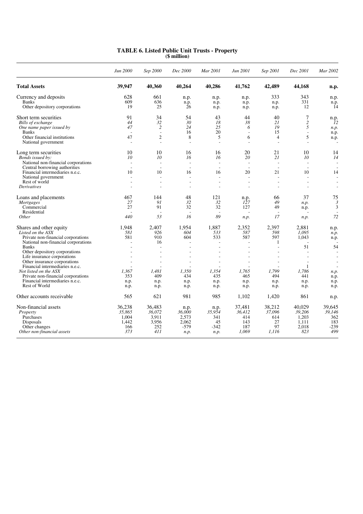|                                                             | Jun 2000                 | Sep 2000                 | Dec 2000                 | Mar 2001                                   | Jun 2001                 | Sep 2001                 | Dec 2001                 | Mar 2002 |
|-------------------------------------------------------------|--------------------------|--------------------------|--------------------------|--------------------------------------------|--------------------------|--------------------------|--------------------------|----------|
| <b>Total Assets</b>                                         | 39,947                   | 40,360                   | 40,264                   | 40,286                                     | 41,762                   | 42,489                   | 44,168                   | n.p.     |
| Currency and deposits                                       | 628                      | 661                      | n.p.                     | n.p.                                       | n.p.                     | 333                      | 343                      | n.p.     |
| <b>Banks</b>                                                | 609                      | 636                      | n.p.                     | n.p.                                       | n.p.                     | n.p.                     | 331                      | n.p.     |
| Other depository corporations                               | 19                       | 25                       | 26                       | n.p.                                       | n.p.                     | n.p.                     | 12                       | 14       |
| Short term securities                                       | 91                       | 34                       | 54                       | 43                                         | 44                       | 40                       | 7                        | n.p.     |
| Bills of exchange                                           | 44                       | 32                       | 30                       | 18                                         | 38                       | 21                       | $\overline{c}$           | 12       |
| One name paper issued by                                    | 47                       | $\overline{c}$           | 24                       | 25                                         | 6                        | 19                       | 5                        | n.p.     |
| <b>Banks</b>                                                |                          | $\overline{a}$           | 16                       | 20                                         | $\overline{a}$           | 15                       | $\overline{a}$           | n.p.     |
| Other financial institutions                                | 47                       | $\overline{2}$           | 8                        | 5                                          | 6                        | $\overline{4}$           | 5                        | n.p.     |
| National government                                         | $\overline{a}$           | L,                       | ÷.                       | $\sim$                                     | ÷                        | ÷.                       | $\overline{a}$           |          |
| Long term securities                                        | 10                       | 10                       | 16                       | 16                                         | 20                       | 21                       | 10                       | 14       |
| Bonds issued by:                                            | 10                       | 10                       | 16                       | 16                                         | 20                       | 21                       | 10                       | 14       |
| National non-financial corporations                         |                          | $\overline{\phantom{a}}$ | $\overline{\phantom{a}}$ | $\overline{\phantom{a}}$                   | $\sim$                   | $\overline{a}$           | $\overline{a}$           |          |
| Central borrowing authorities                               |                          | $\overline{a}$           | $\overline{a}$           | $\sim$                                     | $\overline{\phantom{a}}$ | $\overline{\phantom{a}}$ | $\overline{a}$           |          |
| Financial intermediaries n.e.c.                             | 10                       | 10                       | 16                       | 16                                         | 20                       | 21                       | 10                       | 14       |
| National government                                         |                          | $\overline{a}$           |                          | $\overline{a}$                             | L,                       |                          | $\overline{a}$           |          |
| Rest of world                                               | $\overline{\phantom{a}}$ | $\overline{\phantom{a}}$ | $\overline{\phantom{a}}$ | $\overline{\phantom{a}}$                   | $\overline{\phantom{a}}$ | $\overline{\phantom{a}}$ | $\overline{\phantom{a}}$ |          |
| Derivatives                                                 |                          | $\overline{a}$           | $\overline{\phantom{a}}$ | Ĭ.                                         | $\overline{a}$           |                          | $\overline{a}$           |          |
| Loans and placements                                        | 467                      | 144                      | 48                       | 121                                        | n.p.                     | 66                       | 37                       | 75       |
| <b>Mortgages</b>                                            | 27                       | 91                       | 32                       | 32                                         | 127                      | 49                       | n.p.                     | 3        |
| Commercial                                                  | 27                       | 91                       | 32                       | 32                                         | 127                      | 49                       | n.p.                     | 3        |
| Residential                                                 |                          | $\overline{\phantom{a}}$ | ÷.                       | $\overline{a}$                             | ÷.                       |                          | $\overline{a}$           |          |
| <i>Other</i>                                                | 440                      | 53                       | 16                       | 89                                         | n.p.                     | 17                       | n.p.                     | 72       |
| Shares and other equity                                     | 1.948                    | 2.407                    | 1.954                    | 1,887                                      | 2,352                    | 2.397                    | 2.881                    | n.p.     |
| Listed on the ASX                                           | 581                      | 926                      | 604                      | 533                                        | 587                      | 598                      | 1.095                    | n.p.     |
| Private non-financial corporations                          | 581                      | 910                      | 604                      | 533                                        | 587                      | 597                      | 1.043                    | n.p.     |
| National non-financial corporations                         |                          | 16                       |                          | $\overline{a}$                             | $\overline{a}$           | 1                        |                          |          |
| <b>Banks</b>                                                |                          | $\overline{a}$           |                          | $\overline{a}$                             | ÷,                       | $\overline{\phantom{a}}$ | 51                       | 54       |
| Other depository corporations                               |                          |                          |                          |                                            |                          |                          |                          |          |
| Life insurance corporations<br>Other insurance corporations |                          | $\overline{a}$           |                          | $\overline{\phantom{a}}$<br>$\overline{a}$ | $\overline{a}$           |                          | $\overline{a}$           |          |
| Financial intermediaries n.e.c.                             |                          |                          |                          |                                            |                          |                          | 1                        |          |
| Not listed on the ASX                                       | 1.367                    | 1.481                    | 1.350                    | 1,354                                      | 1.765                    | 1.799                    | 1.786                    | n.p.     |
| Private non-financial corporations                          | 353                      | 409                      | 434                      | 435                                        | 465                      | 494                      | 441                      | n.p.     |
| Financial intermediaries n.e.c.                             | n.p.                     | n.p.                     | n.p.                     | n.p.                                       | n.p.                     | n.p.                     | n.p.                     | n.p.     |
| Rest of World                                               | n.p.                     | n.p.                     | n.p.                     | n.p.                                       | n.p.                     | n.p.                     | n.p.                     | n.p.     |
| Other accounts receivable                                   | 565                      | 621                      | 981                      | 985                                        | 1,102                    | 1,420                    | 861                      | n.p.     |
| Non-financial assets                                        | 36,238                   | 36.483                   | n.p.                     | n.p.                                       | 37,481                   | 38,212                   | 40.029                   | 39.645   |
| Property                                                    | 35,865                   | 36,072                   | 36,000                   | 35,954                                     | 36,412                   | 37,096                   | 39,206                   | 39,146   |
| Purchases                                                   | 1,004                    | 3,911                    | 2,573                    | 341                                        | 414                      | 614                      | 1,203                    | 362      |
| Disposals                                                   | 1.442                    | 3,956                    | 2.062                    | 45                                         | 143                      | 27                       | 1.111                    | 183      |
| Other changes                                               | 166                      | 252                      | $-579$                   | $-342$                                     | 187                      | 97                       | 2,018                    | $-239$   |
| Other non-financial assets                                  | 373                      | 411                      | n.p.                     | n.p.                                       | 1,069                    | 1,116                    | 823                      | 499      |

#### **TABLE 6. Listed Public Unit Trusts - Property (\$ million)**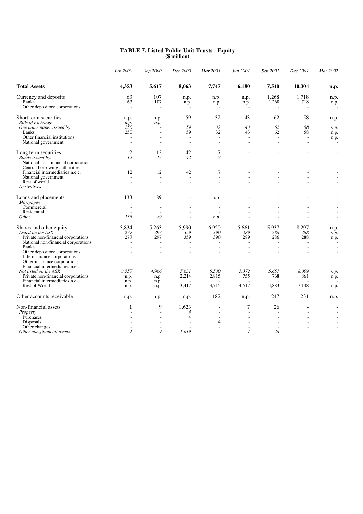|                                     | Jun 2000                 | Sep 2000                 | Dec 2000                 | Mar 2001                 | Jun 2001                 | Sep 2001                 | Dec 2001       | Mar 2002 |
|-------------------------------------|--------------------------|--------------------------|--------------------------|--------------------------|--------------------------|--------------------------|----------------|----------|
| <b>Total Assets</b>                 | 4,353                    | 5,617                    | 8,063                    | 7,747                    | 6,180                    | 7,540                    | 10,304         | n.p.     |
| Currency and deposits               | 63                       | 107                      | n.p.                     | n.p.                     | n.p.                     | 1,268                    | 1,718          | n.p.     |
| <b>Banks</b>                        | 63                       | 107                      | n.p.                     | n.p.                     | n.p.                     | 1,268                    | 1,718          | n.p.     |
| Other depository corporations       | ÷,                       | $\overline{\phantom{a}}$ | $\overline{\phantom{a}}$ | $\overline{\phantom{a}}$ | $\overline{\phantom{a}}$ |                          | $\overline{a}$ |          |
| Short term securities               | n.p.                     | n.p.                     | 59                       | 32                       | 43                       | 62                       | 58             | n.p.     |
| Bills of exchange                   | n.p.                     | n.p.                     | $\overline{\phantom{a}}$ | $\overline{a}$           | $\overline{\phantom{a}}$ | $\overline{\phantom{a}}$ | $\overline{a}$ |          |
| One name paper issued by            | 250                      |                          | 59                       | 32                       | 43                       | 62                       | 58             | n.p.     |
| <b>Banks</b>                        | 250                      | $\overline{\phantom{a}}$ | 59                       | 32                       | 43                       | 62                       | 58             | n.p.     |
| Other financial institutions        | $\overline{\phantom{a}}$ | $\overline{\phantom{a}}$ | $\overline{\phantom{a}}$ | $\overline{\phantom{a}}$ | ÷,                       |                          | $\overline{a}$ | n.p.     |
| National government                 |                          |                          |                          | $\overline{a}$           | L.                       |                          | $\overline{a}$ |          |
| Long term securities                | 12                       | 12                       | 42                       | 7                        |                          |                          |                |          |
| Bonds issued by:                    | 12                       | 12                       | 42                       | 7                        |                          |                          |                |          |
| National non-financial corporations | $\sim$                   | $\overline{a}$           | $\overline{\phantom{a}}$ | $\overline{\phantom{a}}$ | $\overline{a}$           |                          |                |          |
| Central borrowing authorities       |                          | $\overline{a}$           | $\overline{a}$           | $\overline{\phantom{a}}$ |                          |                          |                |          |
| Financial intermediaries n.e.c.     | 12                       | 12                       | 42                       | 7                        |                          |                          |                |          |
| National government                 |                          | $\overline{\phantom{a}}$ | $\overline{\phantom{a}}$ | $\overline{a}$           | $\overline{a}$           |                          |                |          |
| Rest of world                       |                          | $\overline{a}$           |                          | $\overline{a}$           |                          |                          |                |          |
| Derivatives                         |                          |                          |                          |                          |                          |                          |                |          |
| Loans and placements                | 133                      | 89                       |                          | n.p.                     |                          |                          |                |          |
| <b>Mortgages</b>                    |                          |                          |                          | $\overline{\phantom{a}}$ |                          |                          |                |          |
| Commercial                          |                          | $\overline{\phantom{a}}$ |                          | $\overline{\phantom{a}}$ |                          |                          |                |          |
| Residential                         |                          |                          |                          |                          |                          |                          |                |          |
| Other                               | 133                      | 89                       |                          | n.p.                     |                          |                          |                |          |
| Shares and other equity             | 3.834                    | 5.263                    | 5.990                    | 6.920                    | 5,661                    | 5.937                    | 8,297          | n.p.     |
| Listed on the ASX                   | 277                      | 297                      | 359                      | 390                      | 289                      | 286                      | 288            | n.p.     |
| Private non-financial corporations  | 277                      | 297                      | 359                      | 390                      | 289                      | 286                      | 288            | n.p.     |
| National non-financial corporations | ÷.                       | $\overline{a}$           | ÷.                       | $\overline{a}$           | $\overline{a}$           |                          | $\overline{a}$ |          |
| <b>Banks</b>                        |                          | $\overline{\phantom{a}}$ |                          | $\overline{\phantom{a}}$ | $\overline{\phantom{a}}$ |                          |                |          |
| Other depository corporations       |                          |                          |                          |                          |                          |                          |                |          |
| Life insurance corporations         |                          |                          |                          | ÷,                       |                          |                          |                |          |
| Other insurance corporations        |                          |                          |                          | $\overline{\phantom{a}}$ |                          |                          |                |          |
| Financial intermediaries n.e.c.     |                          |                          |                          |                          |                          |                          |                |          |
| Not listed on the ASX               | 3.557                    | 4.966                    | 5,631                    | 6,530                    | 5.372                    | 5.651                    | 8.009          | n.p.     |
| Private non-financial corporations  | n.p.                     | n.p.                     | 2,214                    | 2,815                    | 755                      | 768                      | 861            | n.p.     |
| Financial intermediaries n.e.c.     | n.p.                     | n.p.                     |                          |                          |                          |                          |                |          |
| Rest of World                       | n.p.                     | n.p.                     | 3,417                    | 3,715                    | 4.617                    | 4,883                    | 7,148          | n.p.     |
| Other accounts receivable           | n.p.                     | n.p.                     | n.p.                     | 182                      | n.p.                     | 247                      | 231            | n.p.     |
| Non-financial assets                | 1                        | 9                        | 1,623                    | $\overline{\phantom{a}}$ | 7                        | 26                       | $\blacksquare$ |          |
| Property                            |                          | $\overline{a}$           | $\overline{4}$           |                          | $\overline{a}$           |                          |                |          |
| Purchases                           |                          |                          | 4                        |                          |                          |                          |                |          |
| Disposals                           |                          |                          |                          | 4                        | ٠                        |                          |                |          |
| Other changes                       |                          | $\overline{\phantom{a}}$ |                          | $\overline{a}$           | $\overline{a}$           |                          |                |          |
| Other non-financial assets          | $\overline{I}$           | 9                        | 1,619                    | $\overline{a}$           | 7                        | 26                       |                |          |

#### **TABLE 7. Listed Public Unit Trusts - Equity (\$ million)**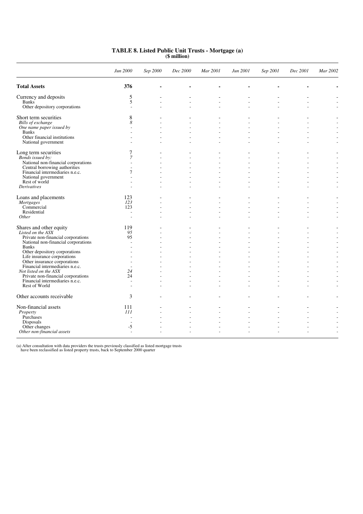|                                                          | Jun 2000                 | Sep 2000                 | Dec 2000 | Mar 2001                 | Jun 2001       | Sep 2001 | Dec 2001                 | Mar 2002       |
|----------------------------------------------------------|--------------------------|--------------------------|----------|--------------------------|----------------|----------|--------------------------|----------------|
| <b>Total Assets</b>                                      | 376                      |                          |          |                          |                |          |                          |                |
| Currency and deposits                                    | 5                        |                          |          |                          |                |          |                          |                |
| <b>Banks</b>                                             | 5                        | L,                       |          | $\overline{a}$           |                |          |                          |                |
| Other depository corporations                            | $\overline{a}$           | L.                       |          |                          |                |          |                          |                |
| Short term securities                                    | 8                        |                          |          |                          |                |          |                          |                |
| Bills of exchange                                        | 8                        | $\overline{a}$           |          | $\overline{a}$           |                |          | $\overline{a}$           |                |
| One name paper issued by                                 |                          | $\overline{\phantom{a}}$ |          |                          |                |          | L.                       |                |
| <b>Banks</b>                                             |                          |                          |          |                          |                |          |                          |                |
| Other financial institutions                             |                          | L.                       |          | $\overline{a}$           |                |          |                          |                |
| National government                                      |                          | J.                       |          |                          |                |          | ÷                        | $\overline{a}$ |
| Long term securities                                     | 7                        | $\overline{\phantom{a}}$ |          | $\overline{\phantom{a}}$ |                |          | $\overline{\phantom{a}}$ |                |
| Bonds issued by:                                         | 7                        | $\overline{a}$           |          | $\overline{a}$           |                |          |                          |                |
| National non-financial corporations                      |                          |                          |          |                          |                |          |                          |                |
| Central borrowing authorities                            |                          | L.                       |          |                          |                |          |                          |                |
| Financial intermediaries n.e.c.                          | 7                        | ÷                        |          |                          |                |          |                          |                |
| National government<br>Rest of world                     |                          | ٠                        |          |                          |                |          |                          |                |
| <b>Derivatives</b>                                       |                          | $\overline{\phantom{a}}$ |          | $\overline{\phantom{a}}$ |                |          | L.                       |                |
|                                                          |                          |                          |          |                          |                |          |                          |                |
| Loans and placements                                     | 123                      | $\overline{a}$           |          | $\overline{\phantom{a}}$ |                |          |                          |                |
| <b>Mortgages</b>                                         | 123                      | ÷                        |          | ÷.                       |                |          | J.                       |                |
| Commercial                                               | 123                      | L,                       |          | $\overline{a}$           |                |          |                          |                |
| Residential                                              |                          | L.                       | ÷        | $\overline{a}$           | ÷              |          | ÷.                       | ÷              |
| Other                                                    |                          | ÷                        |          | J.                       |                |          | J.                       | $\overline{a}$ |
| Shares and other equity                                  | 119                      |                          |          |                          |                |          |                          |                |
| Listed on the ASX                                        | 95                       | $\sim$                   |          | $\overline{a}$           | $\overline{a}$ | ÷.       | L.                       |                |
| Private non-financial corporations                       | 95                       |                          |          |                          |                |          |                          |                |
| National non-financial corporations                      | $\overline{a}$           |                          |          |                          |                |          |                          |                |
| <b>Banks</b>                                             | $\overline{a}$           | L.                       |          | $\overline{a}$           |                |          |                          |                |
| Other depository corporations                            |                          |                          |          |                          |                |          |                          |                |
| Life insurance corporations                              |                          | ٠                        |          |                          |                |          |                          |                |
| Other insurance corporations                             | $\overline{a}$           | L.                       |          | $\overline{a}$           |                |          |                          |                |
| Financial intermediaries n.e.c.<br>Not listed on the ASX | 24                       |                          |          |                          |                |          |                          |                |
| Private non-financial corporations                       | 24                       | L.                       | L.       | $\overline{a}$           | ÷              |          |                          |                |
| Financial intermediaries n.e.c.                          | ÷                        | J.                       |          | ÷.                       | ÷              |          | J.                       |                |
| Rest of World                                            |                          |                          |          |                          |                |          |                          |                |
| Other accounts receivable                                | 3                        |                          |          |                          |                |          |                          |                |
| Non-financial assets                                     | 111                      | $\overline{a}$           |          | $\overline{a}$           |                |          | $\overline{a}$           |                |
| Property                                                 | 111                      | $\overline{a}$           |          | $\overline{a}$           |                |          |                          |                |
| Purchases                                                | $\overline{\phantom{a}}$ | ÷                        |          | $\overline{a}$           |                |          |                          |                |
| Disposals                                                |                          |                          |          |                          |                |          |                          |                |
| Other changes                                            | $-5$                     |                          |          | ÷,                       |                |          |                          |                |
| Other non-financial assets                               |                          |                          |          |                          |                |          | $\overline{\phantom{a}}$ |                |

#### **TABLE 8. Listed Public Unit Trusts - Mortgage (a) (\$ million)**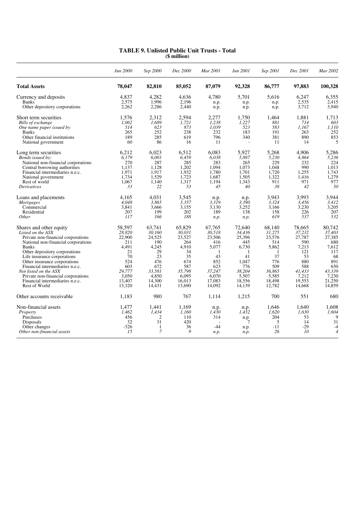|                                                                                                           | Jun 2000                                    | Sep 2000                            | Dec 2000                                | Mar 2001                              | Jun 2001                                   | Sep 2001                                  | Dec 2001                                  | Mar 2002                                            |
|-----------------------------------------------------------------------------------------------------------|---------------------------------------------|-------------------------------------|-----------------------------------------|---------------------------------------|--------------------------------------------|-------------------------------------------|-------------------------------------------|-----------------------------------------------------|
| <b>Total Assets</b>                                                                                       | 78,047                                      | 82,810                              | 85,052                                  | 87,079                                | 92,328                                     | 86,777                                    | 97,883                                    | 100,328                                             |
| Currency and deposits                                                                                     | 4,837                                       | 4,282                               | 4,636                                   | 4,780                                 | 5,701                                      | 5,616                                     | 6,247                                     | 6,355                                               |
| <b>Banks</b>                                                                                              | 2,575                                       | 1.996                               | 2,196                                   | n.p.                                  | n.p.                                       | n.p.                                      | 2,535                                     | 2,415                                               |
| Other depository corporations                                                                             | 2,262                                       | 2,286                               | 2,440                                   | n.p.                                  | n.p.                                       | n.p.                                      | 3,712                                     | 3,940                                               |
| Short term securities                                                                                     | 1,576                                       | 2,312                               | 2,594                                   | 2,277                                 | 1,750                                      | 1,464                                     | 1,881                                     | 1,713                                               |
| Bills of exchange                                                                                         | 1,062                                       | 1,689                               | 1,721                                   | 1,238                                 | 1,227                                      | 881                                       | 714                                       | 603                                                 |
| One name paper issued by                                                                                  | 514                                         | 623                                 | 873                                     | 1,039                                 | 523                                        | 583                                       | 1.167                                     | 1,110                                               |
| <b>Banks</b>                                                                                              | 265                                         | 252                                 | 238                                     | 232                                   | 183                                        | 191                                       | 263                                       | 252                                                 |
| Other financial institutions                                                                              | 189                                         | 285                                 | 619                                     | 796                                   | 340                                        | 381                                       | 890                                       | 853                                                 |
| National government                                                                                       | 60                                          | 86                                  | 16                                      | 11                                    | $\overline{a}$                             | 11                                        | 14                                        | 5                                                   |
| Long term securities                                                                                      | 6,212                                       | 6,023                               | 6,512                                   | 6,083                                 | 5,927                                      | 5,268                                     | 4,906                                     | 5,286                                               |
| Bonds issued by:                                                                                          | 6,179                                       | 6,001                               | 6,459                                   | 6,038                                 | 5,887                                      | 5,230                                     | 4,864                                     | 5,236                                               |
| National non-financial corporations                                                                       | 270                                         | 287                                 | 285                                     | 283                                   | 265                                        | 229                                       | 232                                       | 224                                                 |
| Central borrowing authorities                                                                             | 1,137                                       | 1,128                               | 1,202                                   | 1,094                                 | 1,073                                      | 1,048                                     | 990                                       | 1,013                                               |
| Financial intermediaries n.e.c.                                                                           | 1,971                                       | 1,917                               | 1,932                                   | 1,780                                 | 1,701                                      | 1,720                                     | 1,255                                     | 1,743                                               |
| National government                                                                                       | 1,734                                       | 1,529                               | 1,723                                   | 1,687                                 | 1,505                                      | 1,322                                     | 1,416                                     | 1,279                                               |
| Rest of world                                                                                             | 1,067                                       | 1,140                               | 1,317                                   | 1,194                                 | 1,343                                      | 911                                       | 971                                       | 977                                                 |
| <b>Derivatives</b>                                                                                        | 33                                          | 22                                  | 53                                      | 45                                    | 40                                         | 38                                        | 42                                        | 50                                                  |
| Loans and placements                                                                                      | 4,165                                       | 4,031                               | 3,545                                   | n.p.                                  | n.p.                                       | 3,943                                     | 3,993                                     | 3,944                                               |
| <i>Mortgages</i>                                                                                          | 4,048                                       | 3,865                               | 3,357                                   | 3,319                                 | 3,390                                      | 3,324                                     | 3,456                                     | 3,412                                               |
| Commercial                                                                                                | 3,841                                       | 3,666                               | 3,155                                   | 3,130                                 | 3,252                                      | 3,166                                     | 3,230                                     | 3,205                                               |
| Residential                                                                                               | 207                                         | 199                                 | 202                                     | 189                                   | 138                                        | 158                                       | 226                                       | 207                                                 |
| <i>Other</i>                                                                                              | 117                                         | 166                                 | 188                                     | n.p.                                  | n.p.                                       | 619                                       | 537                                       | 532                                                 |
| Shares and other equity                                                                                   | 58,597                                      | 63,741                              | 65,829                                  | 67,765                                | 72,640                                     | 68,140                                    | 78,665                                    | 80,742                                              |
| Listed on the ASX                                                                                         | 28,820                                      | 30,160                              | 30,031                                  | 30,518                                | 34,436                                     | 31,275                                    | 37,232                                    | 37,403                                              |
| Private non-financial corporations                                                                        | 22,900                                      | 24,525                              | 23,527                                  | 23,506                                | 25,396                                     | 23,576                                    | 27,787                                    | 27,385                                              |
| National non-financial corporations                                                                       | 211                                         | 190                                 | 264                                     | 416                                   | 445                                        | 514                                       | 590                                       | 680                                                 |
| <b>Banks</b>                                                                                              | 4.491                                       | 4,245                               | 4,910                                   | 5,077                                 | 6,730                                      | 5,862                                     | 7,213                                     | 7,612                                               |
| Other depository corporations                                                                             | 21                                          | 29                                  | 34                                      | -1                                    | -1                                         | -1                                        | 121                                       | 117                                                 |
| Life insurance corporations                                                                               | 70                                          | 23                                  | 35                                      | 43                                    | 41                                         | 37                                        | 53                                        | 68                                                  |
| Other insurance corporations                                                                              | 524                                         | 476                                 | 674                                     | 852                                   | 1,047                                      | 776                                       | 880                                       | 891                                                 |
| Financial intermediaries n.e.c.                                                                           | 603                                         | 672                                 | 587                                     | 623                                   | 776                                        | 509                                       | 588                                       | 650                                                 |
| Not listed on the ASX                                                                                     | 29,777                                      | 33,581                              | 35,798                                  | 37,247                                | 38,204                                     | 36,865                                    | 41,433                                    | 43,339                                              |
| Private non-financial corporations                                                                        | 3,050                                       | 4,850                               | 6,095                                   | 6,070                                 | 5,507                                      | 5,585                                     | 7.212                                     | 7,230                                               |
| Financial intermediaries n.e.c.                                                                           | 13,407                                      | 14,300                              | 16,013                                  | 17,083                                | 18,556                                     | 18,498                                    | 19,553                                    | 21,250                                              |
| Rest of World                                                                                             | 13,320                                      | 14,431                              | 13,690                                  | 14,092                                | 14,139                                     | 12,782                                    | 14,668                                    | 14,859                                              |
| Other accounts receivable                                                                                 | 1,183                                       | 980                                 | 767                                     | 1,114                                 | 1,215                                      | 700                                       | 551                                       | 680                                                 |
| Non-financial assets<br>Property<br>Purchases<br>Disposals<br>Other changes<br>Other non-financial assets | 1,477<br>1.462<br>456<br>32<br>$-326$<br>15 | 1,441<br>1,434<br>2<br>31<br>1<br>7 | 1,169<br>1,160<br>110<br>420<br>36<br>9 | n.p.<br>1,430<br>314<br>$-44$<br>n.p. | n.p.<br>1,432<br>n.p.<br>7<br>n.p.<br>n.p. | 1,646<br>1,620<br>204<br>5<br>$-11$<br>26 | 1,640<br>1,630<br>53<br>14<br>$-29$<br>10 | 1,608<br>1,604<br>9<br>31<br>$-4$<br>$\overline{4}$ |

#### **TABLE 9. Unlisted Public Unit Trusts - Total (\$ million)**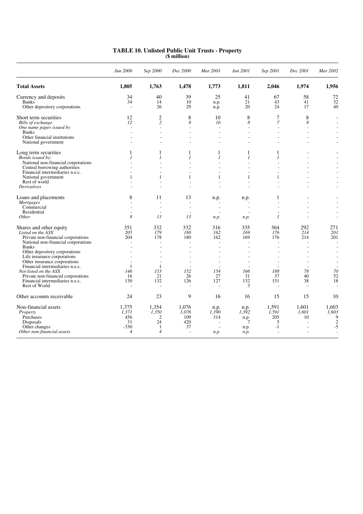|                                                              | Jun 2000                 | Sep 2000                 | Dec 2000                 | Mar 2001                      | Jun 2001                       | Sep 2001                    | Dec 2001                 | Mar 2002                 |
|--------------------------------------------------------------|--------------------------|--------------------------|--------------------------|-------------------------------|--------------------------------|-----------------------------|--------------------------|--------------------------|
| <b>Total Assets</b>                                          | 1,805                    | 1,763                    | 1,478                    | 1,773                         | 1,811                          | 2,046                       | 1,974                    | 1,956                    |
| Currency and deposits                                        | 34                       | 40                       | 39                       | 25                            | 41                             | 67                          | 58                       | 72                       |
| <b>Banks</b>                                                 | 34                       | 14                       | 10                       | n.p.                          | 21                             | 43                          | 41                       | 32                       |
| Other depository corporations                                | $\sim$                   | 26                       | 29                       | n.p.                          | 20                             | 24                          | 17                       | 40                       |
| Short term securities                                        | 12                       | $\mathfrak{2}$           | 8                        | 10                            | 8                              | 7                           | 8                        |                          |
| Bills of exchange                                            | 12                       | $\overline{c}$           | 8                        | 10                            | 8                              | $\overline{7}$              | 8                        |                          |
| One name paper issued by                                     |                          | $\overline{a}$           | J.                       | $\overline{\phantom{a}}$      | $\overline{a}$                 | $\overline{\phantom{a}}$    | $\overline{a}$           |                          |
| <b>Banks</b>                                                 |                          |                          |                          |                               | ÷,                             |                             |                          |                          |
| Other financial institutions                                 |                          | ÷                        | $\overline{a}$           | $\overline{a}$                | ÷                              |                             | ÷.                       |                          |
| National government                                          |                          |                          |                          | L,                            |                                |                             |                          |                          |
| Long term securities                                         | 1                        | 1                        |                          | 1                             |                                | 1                           | $\overline{\phantom{a}}$ |                          |
| Bonds issued by:                                             | $\overline{I}$           | 1                        | $\mathcal{I}$            | 1                             | $\mathcal{I}$                  | $\overline{I}$              |                          |                          |
| National non-financial corporations                          |                          |                          |                          |                               |                                |                             |                          |                          |
| Central borrowing authorities                                |                          |                          |                          |                               |                                |                             |                          |                          |
| Financial intermediaries n.e.c.                              |                          |                          |                          |                               | $\overline{a}$                 |                             |                          |                          |
| National government<br>Rest of world                         | 1                        | 1                        | 1                        | 1<br>$\overline{\phantom{a}}$ | $\mathbf{1}$<br>$\overline{a}$ | 1                           |                          |                          |
| <b>Derivatives</b>                                           |                          |                          |                          |                               |                                |                             |                          |                          |
|                                                              |                          |                          |                          |                               |                                |                             |                          |                          |
| Loans and placements                                         | 8                        | 11                       | 13                       | n.p.                          | n.p.                           | 1                           |                          |                          |
| <b>Mortgages</b>                                             | ÷                        | ÷.                       | ÷                        | J.                            |                                |                             |                          |                          |
| Commercial                                                   |                          | $\overline{a}$           | $\sim$                   | $\overline{\phantom{a}}$      |                                |                             |                          |                          |
| Residential                                                  | $\overline{a}$<br>8      | $\overline{a}$           | $\overline{\phantom{a}}$ | $\overline{\phantom{a}}$      | $\overline{a}$                 |                             | ÷.                       |                          |
| Other                                                        |                          | II                       | 13                       | n.p.                          | n.p.                           | $\mathcal{I}_{\mathcal{I}}$ |                          | $\overline{a}$           |
| Shares and other equity                                      | 351                      | 332                      | 332                      | 316                           | 335                            | 364                         | 292                      | 271                      |
| Listed on the ASX                                            | 205                      | 179                      | 180                      | 162                           | 169                            | 176                         | 214                      | 201                      |
| Private non-financial corporations                           | 204                      | 178                      | 180                      | 162                           | 169                            | 176                         | 214                      | 201                      |
| National non-financial corporations                          |                          | $\overline{a}$           |                          | $\overline{a}$                | $\overline{a}$                 |                             | ÷.                       | $\overline{\phantom{a}}$ |
| <b>Banks</b>                                                 |                          | $\overline{a}$           |                          | $\overline{a}$                | ÷,                             |                             | $\overline{a}$           |                          |
| Other depository corporations<br>Life insurance corporations |                          |                          |                          |                               |                                |                             |                          |                          |
| Other insurance corporations                                 | $\overline{a}$           | $\overline{\phantom{a}}$ |                          | $\overline{\phantom{a}}$      | $\overline{a}$                 |                             | $\overline{a}$           | $\overline{\phantom{a}}$ |
| Financial intermediaries n.e.c.                              | -1                       | $\mathbf{1}$             |                          | $\overline{\phantom{a}}$      |                                |                             | $\overline{a}$           |                          |
| Not listed on the ASX                                        | 146                      | 153                      | 152                      | 154                           | 166                            | 188                         | 78                       | 70                       |
| Private non-financial corporations                           | 16                       | 21                       | 26                       | 27                            | 31                             | 37                          | 40                       | 52                       |
| Financial intermediaries n.e.c.                              | 130                      | 132                      | 126                      | 127                           | 132                            | 151                         | 38                       | 18                       |
| Rest of World                                                | $\overline{\phantom{a}}$ | $\overline{a}$           | $\overline{\phantom{a}}$ | $\overline{\phantom{a}}$      | 3                              |                             | $\overline{a}$           |                          |
| Other accounts receivable                                    | 24                       | 23                       | 9                        | 16                            | 16                             | 15                          | 15                       | 10                       |
| Non-financial assets                                         | 1,375                    | 1,354                    | 1,076                    | n.p.                          | n.p.                           | 1,591                       | 1,601                    | 1,603                    |
| Property                                                     | 1,371                    | 1,350                    | 1,076                    | 1,390                         | 1,392                          | 1,591                       | 1,601                    | 1,603                    |
| Purchases                                                    | 456                      | 2                        | 109                      | 314                           | n.p.                           | 205                         | 10                       | 9                        |
| Disposals                                                    | 31                       | 24                       | 420                      | $\overline{\phantom{a}}$      | 7                              | 5                           |                          | $\overline{2}$           |
| Other changes                                                | $-330$                   | -1                       | 37                       | $\overline{\phantom{a}}$      | n.p.                           | $-1$                        |                          | -5                       |
| Other non-financial assets                                   | $\overline{4}$           | $\overline{4}$           | $\overline{\phantom{a}}$ | n.p.                          | n.p.                           | $\overline{a}$              | $\overline{a}$           |                          |

#### **TABLE 10. Unlisted Public Unit Trusts - Property (\$ million)**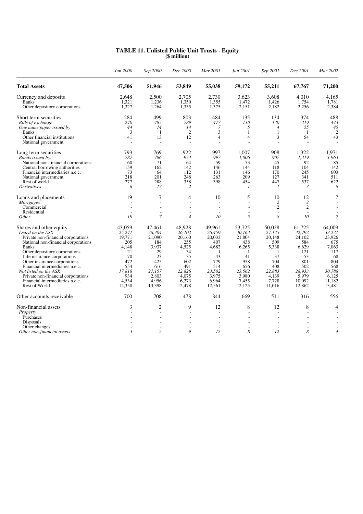|                                                                                                                                                                                                                                                                                                                                                                                                 | Jun 2000                                                                                                 | Sep 2000                                                                                                   | Dec 2000                                                                                                   | Mar 2001                                                                                                  | Jun 2001                                                                                                   | Sep 2001                                                                                                             | Dec 2001                                                                                                     | Mar 2002                                                                                                     |
|-------------------------------------------------------------------------------------------------------------------------------------------------------------------------------------------------------------------------------------------------------------------------------------------------------------------------------------------------------------------------------------------------|----------------------------------------------------------------------------------------------------------|------------------------------------------------------------------------------------------------------------|------------------------------------------------------------------------------------------------------------|-----------------------------------------------------------------------------------------------------------|------------------------------------------------------------------------------------------------------------|----------------------------------------------------------------------------------------------------------------------|--------------------------------------------------------------------------------------------------------------|--------------------------------------------------------------------------------------------------------------|
| <b>Total Assets</b>                                                                                                                                                                                                                                                                                                                                                                             | 47,506                                                                                                   | 51,946                                                                                                     | 53,849                                                                                                     | 55,038                                                                                                    | 59,172                                                                                                     | 55,211                                                                                                               | 67,767                                                                                                       | 71,200                                                                                                       |
| Currency and deposits<br><b>Banks</b><br>Other depository corporations                                                                                                                                                                                                                                                                                                                          | 2.648<br>1,321<br>1,327                                                                                  | 2.500<br>1,236<br>1,264                                                                                    | 2.705<br>1,350<br>1,355                                                                                    | 2.730<br>1,355<br>1,375                                                                                   | 3.623<br>1,472<br>2,151                                                                                    | 3.608<br>1,426<br>2,182                                                                                              | 4.010<br>1,754<br>2,256                                                                                      | 4.165<br>1,781<br>2,384                                                                                      |
| Short term securities<br>Bills of exchange<br>One name paper issued by<br><b>Banks</b><br>Other financial institutions<br>National government                                                                                                                                                                                                                                                   | 284<br>240<br>44<br>3<br>41                                                                              | 499<br>485<br>14<br>1<br>13<br>$\overline{\phantom{a}}$                                                    | 803<br>789<br>14<br>2<br>12<br>$\overline{\phantom{a}}$                                                    | 484<br>477<br>7<br>3<br>$\overline{4}$<br>L,                                                              | 135<br>130<br>5<br>$\mathbf{1}$<br>$\overline{4}$<br>$\overline{a}$                                        | 134<br>130<br>$\overline{4}$<br>$\mathbf{1}$<br>3<br>$\sim$                                                          | 374<br>319<br>55<br>-1<br>54<br>$\overline{\phantom{a}}$                                                     | 488<br>443<br>45<br>$\overline{2}$<br>43                                                                     |
| Long term securities<br>Bonds issued by:<br>National non-financial corporations<br>Central borrowing authorities<br>Financial intermediaries n.e.c.<br>National government<br>Rest of world<br><b>Derivatives</b>                                                                                                                                                                               | 793<br>787<br>60<br>159<br>73<br>218<br>277<br>6                                                         | 769<br>786<br>71<br>162<br>64<br>201<br>288<br>$-17$                                                       | 922<br>924<br>64<br>142<br>112<br>248<br>358<br>$-2$                                                       | 997<br>997<br>59<br>146<br>131<br>263<br>398<br>$\overline{a}$                                            | 1.007<br>1.006<br>53<br>144<br>146<br>209<br>454<br>$\mathcal{I}$                                          | 908<br>907<br>45<br>118<br>170<br>127<br>447<br>1                                                                    | 1.322<br>1.319<br>92<br>104<br>245<br>341<br>537<br>$\mathfrak{Z}$                                           | 1.971<br>1.963<br>85<br>142<br>603<br>511<br>622<br>8                                                        |
| Loans and placements<br><i>Mortgages</i><br>Commercial<br>Residential<br><i>Other</i>                                                                                                                                                                                                                                                                                                           | 19<br>$\overline{\phantom{a}}$<br>19                                                                     | 7<br>$\overline{\phantom{a}}$<br>$\overline{a}$<br>7                                                       | $\overline{4}$<br>$\overline{\phantom{a}}$<br>$\overline{4}$                                               | 10<br>Ĭ.<br>L,<br>$\overline{\phantom{a}}$<br>10                                                          | 5<br>L,<br>$\overline{a}$<br>5                                                                             | 10<br>$\overline{c}$<br>$\overline{c}$<br>$\sim$<br>8                                                                | 12<br>$\overline{2}$<br>$\mathfrak{2}$<br>÷.<br>10                                                           | $\tau$<br>$\overline{7}$                                                                                     |
| Shares and other equity<br>Listed on the ASX<br>Private non-financial corporations<br>National non-financial corporations<br><b>Banks</b><br>Other depository corporations<br>Life insurance corporations<br>Other insurance corporations<br>Financial intermediaries n.e.c.<br>Not listed on the ASX<br>Private non-financial corporations<br>Financial intermediaries n.e.c.<br>Rest of World | 43,059<br>25,241<br>19,771<br>205<br>4.148<br>21<br>70<br>472<br>554<br>17.818<br>934<br>4,534<br>12,350 | 47,461<br>26,304<br>21,090<br>184<br>3.937<br>29<br>23<br>425<br>616<br>21.157<br>2.803<br>4.956<br>13,398 | 48,928<br>26.102<br>20,160<br>255<br>4,525<br>34<br>35<br>602<br>491<br>22,826<br>4.075<br>6,273<br>12,478 | 49.961<br>26.459<br>20,033<br>407<br>4.682<br>1<br>43<br>779<br>514<br>23,502<br>3,975<br>6,964<br>12,561 | 53,725<br>30.163<br>21,804<br>438<br>6,265<br>-1<br>41<br>958<br>656<br>23,562<br>3.980<br>7,455<br>12,125 | 50.028<br>27.145<br>20,148<br>509<br>5,338<br>$\mathbf{1}$<br>37<br>704<br>408<br>22,883<br>4.139<br>7,728<br>11,016 | 61,725<br>32.792<br>24,102<br>584<br>6.629<br>121<br>53<br>801<br>502<br>28.933<br>5.979<br>10,092<br>12,862 | 64,009<br>33,221<br>23,926<br>675<br>7.063<br>117<br>68<br>804<br>568<br>30,788<br>6.125<br>11,182<br>13,481 |
| Other accounts receivable                                                                                                                                                                                                                                                                                                                                                                       | 700                                                                                                      | 708                                                                                                        | 478                                                                                                        | 844                                                                                                       | 669                                                                                                        | 511                                                                                                                  | 316                                                                                                          | 556                                                                                                          |
| Non-financial assets<br>Property<br>Purchases<br>Disposals<br>Other changes<br>Other non-financial assets                                                                                                                                                                                                                                                                                       | 3<br>$\mathfrak{Z}$                                                                                      | $\overline{2}$<br>$\overline{a}$<br>$\overline{a}$<br>$\overline{c}$                                       | 9<br>9                                                                                                     | 12<br>L,<br>$\overline{\phantom{a}}$<br>12                                                                | 8<br>$\overline{a}$<br>$\overline{a}$<br>L,<br>8                                                           | 12<br>12                                                                                                             | 8<br>$\overline{a}$<br>$\overline{a}$<br>8                                                                   | $\overline{4}$<br>$\overline{4}$                                                                             |

#### **TABLE 11. Unlisted Public Unit Trusts - Equity (\$ million)**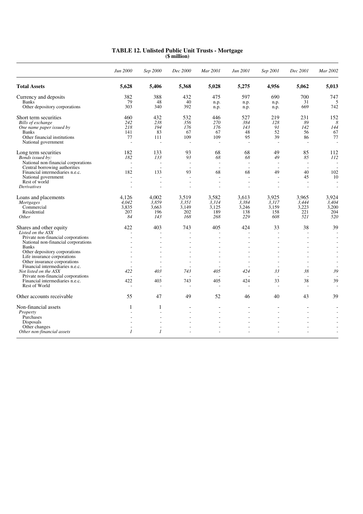|                                                                  | Jun 2000                        | Sep 2000                        | Dec 2000                       | Mar 2001                 | Jun 2001                       | Sep 2001                       | Dec 2001                       | Mar 2002       |
|------------------------------------------------------------------|---------------------------------|---------------------------------|--------------------------------|--------------------------|--------------------------------|--------------------------------|--------------------------------|----------------|
| <b>Total Assets</b>                                              | 5,628                           | 5,406                           | 5,368                          | 5,028                    | 5,275                          | 4,956                          | 5,062                          | 5,013          |
| Currency and deposits                                            | 382                             | 388                             | 432                            | 475                      | 597                            | 690                            | 700                            | 747            |
| <b>Banks</b>                                                     | 79                              | 48                              | 40                             | n.p.                     | n.p.                           | n.p.                           | 31                             | 5              |
| Other depository corporations                                    | 303                             | 340                             | 392                            | n.p.                     | n.p.                           | n.p.                           | 669                            | 742            |
| Short term securities                                            | 460                             | 432                             | 532                            | 446                      | 527                            | 219                            | 231                            | 152            |
| Bills of exchange                                                | 242                             | 238                             | 356                            | 270                      | 384                            | 128                            | 89                             | 8              |
| One name paper issued by                                         | 218                             | 194                             | 176                            | 176                      | 143                            | 91                             | 142                            | 144            |
| <b>Banks</b>                                                     | 141                             | 83                              | 67                             | 67                       | 48                             | 52                             | 56                             | 67             |
| Other financial institutions                                     | 77                              | 111                             | 109                            | 109                      | 95                             | 39                             | 86                             | 77             |
| National government                                              | ÷,                              | $\overline{a}$                  |                                | ÷,                       |                                | L.                             | $\overline{\phantom{a}}$       |                |
| Long term securities                                             | 182                             | 133                             | 93                             | 68                       | 68                             | 49                             | 85                             | 112            |
| Bonds issued by:                                                 | 182                             | 133                             | 93                             | 68                       | 68                             | 49                             | 85                             | 112            |
| National non-financial corporations                              | $\overline{\phantom{a}}$        | $\sim$                          | $\overline{a}$                 | $\overline{a}$           | $\overline{\phantom{a}}$       |                                | $\sim$                         |                |
| Central borrowing authorities<br>Financial intermediaries n.e.c. | $\overline{\phantom{a}}$<br>182 | $\overline{\phantom{a}}$<br>133 | $\overline{\phantom{a}}$<br>93 | $\sim$<br>68             | $\overline{\phantom{a}}$<br>68 | $\overline{\phantom{a}}$<br>49 | $\overline{\phantom{a}}$<br>40 | 102            |
| National government                                              |                                 |                                 |                                | $\overline{\phantom{a}}$ |                                |                                | 45                             | 10             |
| Rest of world                                                    | $\overline{\phantom{a}}$        | $\overline{a}$                  | $\overline{\phantom{a}}$       | $\overline{\phantom{a}}$ | $\overline{a}$                 | $\overline{\phantom{a}}$       | L.                             | $\sim$         |
| Derivatives                                                      | $\overline{a}$                  | $\overline{a}$                  |                                | $\overline{\phantom{a}}$ | $\overline{a}$                 | $\overline{a}$                 | $\overline{a}$                 | $\overline{a}$ |
| Loans and placements                                             | 4.126                           | 4.002                           | 3,519                          | 3,582                    | 3,613                          | 3,925                          | 3,965                          | 3,924          |
| Mortgages                                                        | 4.042                           | 3,859                           | 3,351                          | 3,314                    | 3,384                          | 3,317                          | 3.444                          | 3,404          |
| Commercial                                                       | 3.835                           | 3.663                           | 3,149                          | 3.125                    | 3,246                          | 3,159                          | 3,223                          | 3,200          |
| Residential                                                      | 207                             | 196                             | 202                            | 189                      | 138                            | 158                            | 221                            | 204            |
| <i>Other</i>                                                     | 84                              | 143                             | 168                            | 268                      | 229                            | 608                            | 521                            | 520            |
| Shares and other equity                                          | 422                             | 403                             | 743                            | 405                      | 424                            | 33                             | 38                             | 39             |
| Listed on the ASX                                                |                                 |                                 |                                |                          |                                |                                |                                |                |
| Private non-financial corporations                               |                                 |                                 |                                | $\overline{a}$           |                                | $\overline{a}$                 | ÷                              |                |
| National non-financial corporations                              |                                 |                                 |                                |                          |                                |                                |                                |                |
| <b>Banks</b>                                                     |                                 | ٠                               |                                |                          |                                |                                | $\overline{\phantom{a}}$       |                |
| Other depository corporations<br>Life insurance corporations     |                                 |                                 |                                |                          |                                |                                |                                |                |
| Other insurance corporations                                     |                                 | ÷,                              |                                |                          |                                |                                |                                |                |
| Financial intermediaries n.e.c.                                  |                                 |                                 |                                |                          |                                | $\overline{\phantom{a}}$       | $\overline{\phantom{a}}$       |                |
| Not listed on the ASX                                            | 422                             | 403                             | 743                            | 405                      | 424                            | 33                             | 38                             | 39             |
| Private non-financial corporations                               |                                 |                                 |                                |                          |                                | $\overline{\phantom{a}}$       | $\overline{\phantom{a}}$       |                |
| Financial intermediaries n.e.c.                                  | 422                             | 403                             | 743                            | 405                      | 424                            | 33                             | 38                             | 39             |
| Rest of World                                                    | $\overline{\phantom{a}}$        | $\overline{a}$                  |                                | $\overline{\phantom{a}}$ |                                | $\sim$                         | $\overline{\phantom{a}}$       |                |
| Other accounts receivable                                        | 55                              | 47                              | 49                             | 52                       | 46                             | 40                             | 43                             | 39             |
| Non-financial assets                                             | 1                               | 1                               |                                | $\blacksquare$           |                                |                                | $\overline{a}$                 |                |
| Property                                                         |                                 | $\overline{a}$                  |                                |                          |                                |                                |                                |                |
| Purchases                                                        |                                 | L,                              |                                | $\overline{a}$           |                                |                                |                                |                |
| Disposals                                                        |                                 |                                 |                                |                          |                                |                                |                                |                |
| Other changes                                                    | $\mathcal{I}$                   | $\mathcal{I}$                   |                                |                          |                                |                                | $\overline{a}$                 |                |
| Other non-financial assets                                       |                                 |                                 |                                |                          |                                |                                |                                |                |

#### **TABLE 12. Unlisted Public Unit Trusts - Mortgage (\$ million)**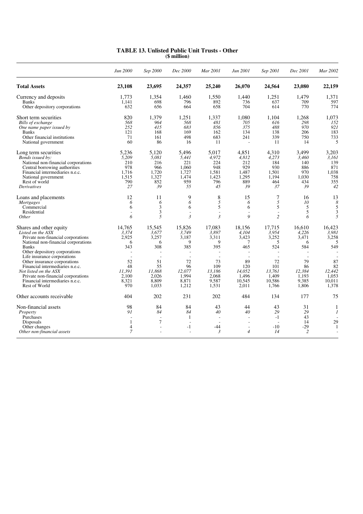|                                                                                                                                                                                                                                                                                                                                                                                                 | Jun 2000                                                                            | Sep 2000                                                                                                          | Dec 2000                                                                                                          | Mar 2001                                                                                                                     | Jun 2001                                                                                                               | Sep 2001                                                                                | Dec 2001                                                                              | Mar 2002                                                                               |
|-------------------------------------------------------------------------------------------------------------------------------------------------------------------------------------------------------------------------------------------------------------------------------------------------------------------------------------------------------------------------------------------------|-------------------------------------------------------------------------------------|-------------------------------------------------------------------------------------------------------------------|-------------------------------------------------------------------------------------------------------------------|------------------------------------------------------------------------------------------------------------------------------|------------------------------------------------------------------------------------------------------------------------|-----------------------------------------------------------------------------------------|---------------------------------------------------------------------------------------|----------------------------------------------------------------------------------------|
| <b>Total Assets</b>                                                                                                                                                                                                                                                                                                                                                                             | 23,108                                                                              | 23,695                                                                                                            | 24,357                                                                                                            | 25,240                                                                                                                       | 26,070                                                                                                                 | 24,564                                                                                  | 23,080                                                                                | 22,159                                                                                 |
| Currency and deposits<br><b>Banks</b><br>Other depository corporations                                                                                                                                                                                                                                                                                                                          | 1.773<br>1.141<br>632                                                               | 1,354<br>698<br>656                                                                                               | 1,460<br>796<br>664                                                                                               | 1,550<br>892<br>658                                                                                                          | 1.440<br>736<br>704                                                                                                    | 1,251<br>637<br>614                                                                     | 1.479<br>709<br>770                                                                   | 1,371<br>597<br>774                                                                    |
| Short term securities<br>Bills of exchange<br>One name paper issued by<br><b>Banks</b><br>Other financial institutions<br>National government                                                                                                                                                                                                                                                   | 820<br>568<br>252<br>121<br>71<br>60                                                | 1.379<br>964<br>415<br>168<br>161<br>86                                                                           | 1,251<br>568<br>683<br>169<br>498<br>16                                                                           | 1,337<br>481<br>856<br>162<br>683<br>11                                                                                      | 1.080<br>705<br>375<br>134<br>241<br>$\overline{\phantom{a}}$                                                          | 1.104<br>616<br>488<br>138<br>339<br>11                                                 | 1.268<br>298<br>970<br>206<br>750<br>14                                               | 1.073<br>152<br>921<br>183<br>733<br>5                                                 |
| Long term securities<br>Bonds issued by:<br>National non-financial corporations<br>Central borrowing authorities<br>Financial intermediaries n.e.c.<br>National government<br>Rest of world<br><i>Derivatives</i>                                                                                                                                                                               | 5,236<br>5,209<br>210<br>978<br>1,716<br>1,515<br>790<br>27                         | 5,120<br>5,081<br>216<br>966<br>1,720<br>1,327<br>852<br>39                                                       | 5,496<br>5,441<br>221<br>1.060<br>1,727<br>1.474<br>959<br>55                                                     | 5.017<br>4,972<br>224<br>948<br>1,581<br>1,423<br>796<br>45                                                                  | 4,851<br>4,812<br>212<br>929<br>1,487<br>1,295<br>889<br>39                                                            | 4,310<br>4,273<br>184<br>930<br>1,501<br>1,194<br>464<br>37                             | 3,499<br>3,460<br>140<br>886<br>970<br>1.030<br>434<br>39                             | 3,203<br>3,161<br>139<br>871<br>1,038<br>758<br>355<br>42                              |
| Loans and placements<br><b>Mortgages</b><br>Commercial<br>Residential<br>Other                                                                                                                                                                                                                                                                                                                  | 12<br>6<br>6<br>6                                                                   | 11<br>6<br>3<br>3<br>5                                                                                            | 9<br>6<br>6<br>$\mathfrak{Z}$                                                                                     | 8<br>5<br>5<br>$\overline{a}$<br>$\mathfrak{Z}$                                                                              | 15<br>6<br>6<br>÷<br>$\boldsymbol{Q}$                                                                                  | 7<br>5<br>5<br>$\overline{\phantom{a}}$<br>$\overline{c}$                               | 16<br>10<br>5<br>5<br>6                                                               | 13<br>8<br>5<br>3<br>5                                                                 |
| Shares and other equity<br>Listed on the ASX<br>Private non-financial corporations<br>National non-financial corporations<br><b>Banks</b><br>Other depository corporations<br>Life insurance corporations<br>Other insurance corporations<br>Financial intermediaries n.e.c.<br>Not listed on the ASX<br>Private non-financial corporations<br>Financial intermediaries n.e.c.<br>Rest of World | 14.765<br>3.374<br>2.925<br>6<br>343<br>52<br>48<br>11,391<br>2.100<br>8,321<br>970 | 15.545<br>3.677<br>3.257<br>6<br>308<br>$\overline{\phantom{a}}$<br>51<br>55<br>11,868<br>2.026<br>8,809<br>1,033 | 15.826<br>3,749<br>3.187<br>9<br>385<br>$\overline{\phantom{a}}$<br>72<br>96<br>12,077<br>1.994<br>8,871<br>1,212 | 17.083<br>3,897<br>3,311<br>9<br>395<br>$\overline{\phantom{a}}$<br>$\sim$<br>73<br>109<br>13.186<br>2.068<br>9,587<br>1,531 | 18,156<br>4.104<br>3,423<br>$\overline{7}$<br>465<br>$\overline{a}$<br>89<br>120<br>14.052<br>1.496<br>10,545<br>2,011 | 17.715<br>3,954<br>3,252<br>5<br>524<br>72<br>101<br>13.761<br>1.409<br>10,586<br>1,766 | 16.610<br>4.226<br>3.471<br>6<br>584<br>79<br>86<br>12,384<br>1.193<br>9,385<br>1,806 | 16.423<br>3.981<br>3,258<br>5<br>549<br>87<br>82<br>12,442<br>1,053<br>10,011<br>1,378 |
| Other accounts receivable                                                                                                                                                                                                                                                                                                                                                                       | 404                                                                                 | 202                                                                                                               | 231                                                                                                               | 202                                                                                                                          | 484                                                                                                                    | 134                                                                                     | 177                                                                                   | 75                                                                                     |
| Non-financial assets<br>Property<br>Purchases<br>Disposals<br>Other changes<br>Other non-financial assets                                                                                                                                                                                                                                                                                       | 98<br>91<br>1<br>$\overline{4}$<br>7                                                | 84<br>84<br>$\overline{\phantom{a}}$<br>$\tau$<br>$\overline{a}$                                                  | 84<br>84<br>1<br>$\sim$<br>$-1$                                                                                   | 43<br>40<br>$\overline{\phantom{a}}$<br>$\sim$<br>$-44$<br>3                                                                 | 44<br>40<br>$\overline{a}$<br>$\sim$<br>$\overline{\phantom{a}}$<br>$\overline{4}$                                     | 43<br>29<br>$-1$<br>$-10$<br>14                                                         | 31<br>29<br>43<br>14<br>-29<br>2                                                      | 1<br>1<br>29<br>1                                                                      |

#### **TABLE 13. Unlisted Public Unit Trusts - Other (\$ million)**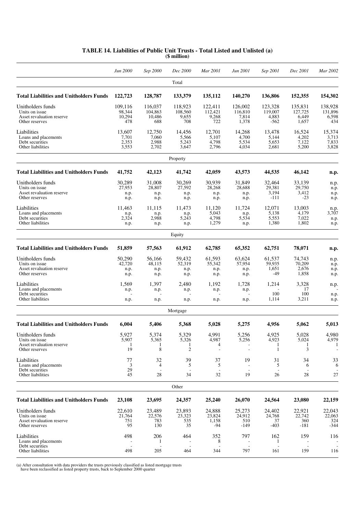|                                                | Jun 2000         | Sep 2000          | Dec 2000         | Mar 2001         | Jun 2001         | Sep 2001         | Dec 2001         | Mar 2002         |
|------------------------------------------------|------------------|-------------------|------------------|------------------|------------------|------------------|------------------|------------------|
|                                                |                  |                   | Total            |                  |                  |                  |                  |                  |
| <b>Total Liabilities and Unitholders Funds</b> | 122,723          | 128,787           | 133,379          | 135,112          | 140,270          | 136,806          | 152,355          | 154,302          |
| Unitholders funds                              | 109,116          | 116,037           | 118,923          | 122,411          | 126,002          | 123,328          | 135,831          | 138,928          |
| Units on issue<br>Asset revaluation reserve    | 98,344<br>10,294 | 104,863<br>10,486 | 108,560<br>9,655 | 112,421<br>9,268 | 116,810<br>7,814 | 119,007<br>4,883 | 127,725<br>6,449 | 131,896<br>6,598 |
| Other reserves                                 | 478              | 688               | 708              | 722              | 1,378            | $-562$           | 1,657            | 434              |
| Liabilities                                    | 13,607           | 12,750            | 14,456           | 12,701           | 14,268           | 13,478           | 16,524           | 15,374           |
| Loans and placements                           | 7,701            | 7,060             | 5,566            | 5,107            | 4,700            | 5,144            | 4,202            | 3,713            |
| Debt securities<br>Other liabilities           | 2,353<br>3,553   | 2,988<br>2,702    | 5,243<br>3,647   | 4,798<br>2,796   | 5,534<br>4,034   | 5,653<br>2,681   | 7,122<br>5,200   | 7,833<br>3,828   |
|                                                |                  |                   | Property         |                  |                  |                  |                  |                  |
| <b>Total Liabilities and Unitholders Funds</b> | 41,752           | 42,123            | 41,742           | 42,059           | 43,573           | 44,535           | 46,142           | n.p.             |
| Unitholders funds                              | 30,289           | 31,008            | 30,269           | 30,939           | 31,849           | 32,464           | 33,139           | n.p.             |
| Units on issue                                 | 27,953           | 28,807            | 27,592           | 28,268           | 28,688           | 29,381           | 29,750           | n.p.             |
| Asset revaluation reserve<br>Other reserves    | n.p.<br>n.p.     | n.p.<br>n.p.      | n.p.<br>n.p.     | n.p.<br>n.p.     | n.p.<br>n.p.     | 3,194<br>$-111$  | 3,412<br>$-23$   | n.p.<br>n.p.     |
| Liabilities                                    | 11.463           | 11,115            | 11,473           | 11,120           | 11,724           | 12,071           | 13,003           |                  |
| Loans and placements                           | n.p.             | n.p.              | n.p.             | 5,043            | n.p.             | 5,138            | 4,179            | n.p.<br>3,707    |
| Debt securities                                | 2,324            | 2,988             | 5,243            | 4,798            | 5,534            | 5,553            | 7,022            | n.p.             |
| Other liabilities                              | n.p.             | n.p.              | n.p.             | 1,279            | n.p.             | 1,380            | 1,802            | n.p.             |
|                                                |                  |                   | Equity           |                  |                  |                  |                  |                  |
| <b>Total Liabilities and Unitholders Funds</b> | 51,859           | 57,563            | 61,912           | 62,785           | 65,352           | 62,751           | 78,071           | n.p.             |
| Unitholders funds                              | 50,290           | 56,166            | 59,432           | 61,593           | 63,624           | 61,537           | 74,743           | n.p.             |
| Units on issue<br>Asset revaluation reserve    | 42,720<br>n.p.   | 48,115<br>n.p.    | 52,319<br>n.p.   | 55,342<br>n.p.   | 57,954<br>n.p.   | 59,935<br>1,651  | 70,209<br>2,676  | n.p.             |
| Other reserves                                 | n.p.             | n.p.              | n.p.             | n.p.             | n.p.             | $-49$            | 1,858            | n.p.<br>n.p.     |
| Liabilities                                    | 1,569            | 1,397             | 2,480            | 1,192            | 1,728            | 1,214            | 3,328            | n.p.             |
| Loans and placements                           | n.p.             | n.p.              | n.p.             | n.p.             | n.p.             |                  | 17               |                  |
| Debt securities<br>Other liabilities           | n.p.             | n.p.              | n.p.             | n.p.             | n.p.             | 100<br>1,114     | 100<br>3,211     | n.p.<br>n.p.     |
|                                                |                  |                   | Mortgage         |                  |                  |                  |                  |                  |
| <b>Total Liabilities and Unitholders Funds</b> |                  |                   |                  |                  |                  |                  |                  |                  |
|                                                | 6,004            | 5,406             | 5,368            | 5,028            | 5,275            | 4,956            | 5,062            | 5,013            |
| Unitholders funds<br>Units on issue            | 5,927<br>5,907   | 5,374             | 5,329            | 4,991<br>4,987   | 5,256            | 4,925            | 5,028<br>5,024   | 4,980<br>4,979   |
| Asset revaluation reserve                      | -1               | 5,365             | 5,326<br>-1      | 4                | 5,256            | 4,923<br>-1      | 1                |                  |
| Other reserves                                 | 19               | 8                 | $\overline{c}$   |                  |                  | -1               | 3                |                  |
| Liabilities                                    | 77               | 32                | 39               | 37               | 19               | 31               | 34               | 33               |
| Loans and placements<br>Debt securities        | 3<br>29          | 4                 | 5                | 5                |                  | 5                | 6                | 6                |
| Other liabilities                              | 45               | 28                | 34               | 32               | 19               | 26               | 28               | 27               |
|                                                |                  |                   | Other            |                  |                  |                  |                  |                  |
| <b>Total Liabilities and Unitholders Funds</b> | 23,108           | 23,695            | 24,357           | 25,240           | 26,070           | 24,564           | 23,080           | 22,159           |
| Unitholders funds                              | 22,610           | 23,489            | 23,893           | 24,888           | 25,273           | 24,402           | 22,921           | 22,043           |
| Units on issue                                 | 21,764           | 22,576            | 23,323           | 23,824           | 24,912           | 24,768           | 22,742           | 22,063           |
| Asset revaluation reserve<br>Other reserves    | 751<br>95        | 783<br>130        | 535<br>35        | 1,158<br>$-94$   | 510<br>$-149$    | 37<br>$-403$     | 360<br>-181      | 324<br>$-344$    |
|                                                |                  |                   |                  |                  |                  |                  |                  |                  |
| Liabilities<br>Loans and placements            | 498              | 206<br>1          | 464              | 352<br>8         | 797              | 162<br>-1        | 159              | 116              |
| Debt securities                                |                  |                   |                  |                  |                  |                  |                  |                  |
| Other liabilities                              | 498              | 205               | 464              | 344              | 797              | 161              | 159              | 116              |

#### **TABLE 14. Liabilities of Public Unit Trusts - Total Listed and Unlisted (a) (\$ million)**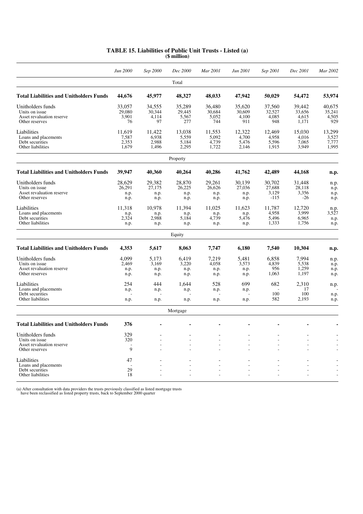|                                                | Jun 2000 | Sep 2000 | Dec 2000 | Mar 2001       | Jun 2001 | Sep 2001 | Dec 2001 | Mar 2002 |
|------------------------------------------------|----------|----------|----------|----------------|----------|----------|----------|----------|
|                                                |          |          | Total    |                |          |          |          |          |
| <b>Total Liabilities and Unitholders Funds</b> | 44,676   | 45,977   | 48,327   | 48,033         | 47,942   | 50.029   | 54,472   | 53,974   |
| Unitholders funds                              | 33,057   | 34,555   | 35,289   | 36,480         | 35,620   | 37,560   | 39,442   | 40.675   |
| Units on issue                                 | 29.080   | 30.344   | 29,445   | 30.684         | 30,609   | 32,527   | 33,656   | 35,241   |
| Asset revaluation reserve                      | 3,901    | 4,114    | 5,567    | 5,052          | 4,100    | 4,085    | 4,615    | 4,505    |
| Other reserves                                 | 76       | 97       | 277      | 744            | 911      | 948      | 1,171    | 929      |
| Liabilities                                    | 11.619   | 11,422   | 13,038   | 11,553         | 12,322   | 12.469   | 15.030   | 13,299   |
| Loans and placements                           | 7,587    | 6,938    | 5,559    | 5,092          | 4,700    | 4,958    | 4,016    | 3,527    |
| Debt securities                                | 2,353    | 2,988    | 5,184    | 4,739          | 5,476    | 5,596    | 7,065    | 7,777    |
| Other liabilities                              | 1,679    | 1,496    | 2,295    | 1,722          | 2,146    | 1,915    | 3,949    | 1,995    |
|                                                |          |          | Property |                |          |          |          |          |
| <b>Total Liabilities and Unitholders Funds</b> | 39,947   | 40,360   | 40,264   | 40,286         | 41,762   | 42,489   | 44,168   | n.p.     |
| Unitholders funds                              | 28,629   | 29,382   | 28,870   | 29,261         | 30,139   | 30,702   | 31,448   | n.p.     |
| Units on issue                                 | 26,291   | 27,175   | 26,225   | 26,626         | 27,036   | 27,688   | 28,118   | n.p.     |
| Asset revaluation reserve                      | n.p.     | n.p.     | n.p.     | n.p.           | n.p.     | 3,129    | 3,356    | n.p.     |
| Other reserves                                 | n.p.     | n.p.     | n.p.     | n.p.           | n.p.     | $-115$   | $-26$    | n.p.     |
| Liabilities                                    | 11,318   | 10,978   | 11,394   | 11,025         | 11,623   | 11,787   | 12,720   | n.p.     |
| Loans and placements                           | n.p.     | n.p.     | n.p.     | n.p.           | n.p.     | 4,958    | 3,999    | 3,527    |
| Debt securities                                | 2,324    | 2,988    | 5,184    | 4,739          | 5,476    | 5,496    | 6,965    | n.p.     |
| Other liabilities                              | n.p.     | n.p.     | n.p.     | n.p.           | n.p.     | 1,333    | 1,756    | n.p.     |
|                                                |          |          | Equity   |                |          |          |          |          |
| <b>Total Liabilities and Unitholders Funds</b> | 4,353    | 5,617    | 8,063    | 7,747          | 6,180    | 7,540    | 10,304   | n.p.     |
| Unitholders funds                              | 4.099    | 5,173    | 6.419    | 7,219          | 5,481    | 6,858    | 7,994    | n.p.     |
| Units on issue                                 | 2,469    | 3,169    | 3,220    | 4,058          | 3,573    | 4,839    | 5,538    | n.p.     |
| Asset revaluation reserve                      | n.p.     | n.p.     | n.p.     | n.p.           | n.p.     | 956      | 1,259    | n.p.     |
| Other reserves                                 | n.p.     | n.p.     | n.p.     | n.p.           | n.p.     | 1,063    | 1,197    | n.p.     |
| Liabilities                                    | 254      | 444      | 1.644    | 528            | 699      | 682      | 2.310    | n.p.     |
| Loans and placements                           | n.p.     | n.p.     | n.p.     | n.p.           | n.p.     |          | 17       |          |
| Debt securities                                |          |          |          |                |          | 100      | 100      | n.p.     |
| Other liabilities                              | n.p.     | n.p.     | n.p.     | n.p.           | n.p.     | 582      | 2,193    | n.p.     |
|                                                |          |          | Mortgage |                |          |          |          |          |
| <b>Total Liabilities and Unitholders Funds</b> | 376      |          |          |                |          |          |          |          |
| Unitholders funds                              | 329      |          |          |                |          |          |          |          |
| Units on issue                                 | 320      |          |          |                |          |          |          |          |
| Asset revaluation reserve                      |          |          |          | $\overline{a}$ | L.       |          |          |          |
| Other reserves                                 | 9        |          |          |                |          |          |          |          |
| Liabilities                                    | 47       |          |          |                |          |          |          |          |
| Loans and placements                           |          |          |          | $\overline{a}$ |          |          |          |          |
| Debt securities                                | 29       |          |          |                |          |          |          |          |
| Other liabilities                              | 18       |          |          |                |          |          |          |          |

#### **TABLE 15. Liabilities of Public Unit Trusts - Listed (a) (\$ million)**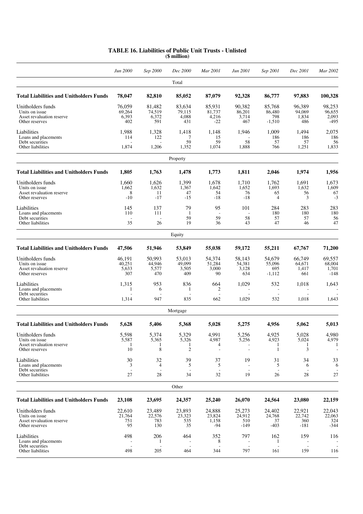|                                                                                    | Jun 2000                         | Sep 2000                         | Dec 2000                            | Mar 2001                           | Jun 2001                         | Sep 2001                               | Dec 2001                         | Mar 2002                            |
|------------------------------------------------------------------------------------|----------------------------------|----------------------------------|-------------------------------------|------------------------------------|----------------------------------|----------------------------------------|----------------------------------|-------------------------------------|
|                                                                                    |                                  |                                  | Total                               |                                    |                                  |                                        |                                  |                                     |
| <b>Total Liabilities and Unitholders Funds</b>                                     | 78,047                           | 82,810                           | 85,052                              | 87,079                             | 92,328                           | 86,777                                 | 97,883                           | 100,328                             |
| Unitholders funds<br>Units on issue<br>Asset revaluation reserve<br>Other reserves | 76,059<br>69,264<br>6,393<br>402 | 81,482<br>74,519<br>6,372<br>591 | 83,634<br>79,115<br>4,088<br>431    | 85,931<br>81,737<br>4,216<br>$-22$ | 90,382<br>86,201<br>3,714<br>467 | 85,768<br>86,480<br>798<br>$-1,510$    | 96,389<br>94,069<br>1,834<br>486 | 98,253<br>96,655<br>2,093<br>$-495$ |
| Liabilities<br>Loans and placements<br>Debt securities<br>Other liabilities        | 1,988<br>114<br>1,874            | 1,328<br>122<br>1,206            | 1,418<br>7<br>59<br>1,352           | 1,148<br>15<br>59<br>1,074         | 1,946<br>58<br>1,888             | 1,009<br>186<br>57<br>766              | 1.494<br>186<br>57<br>1,251      | 2,075<br>186<br>56<br>1,833         |
|                                                                                    |                                  |                                  | Property                            |                                    |                                  |                                        |                                  |                                     |
| <b>Total Liabilities and Unitholders Funds</b>                                     | 1,805                            | 1,763                            | 1,478                               | 1,773                              | 1,811                            | 2,046                                  | 1,974                            | 1,956                               |
| Unitholders funds<br>Units on issue<br>Asset revaluation reserve<br>Other reserves | 1,660<br>1,662<br>8<br>$-10$     | 1,626<br>1,632<br>11<br>$-17$    | 1,399<br>1,367<br>47<br>$-15$       | 1,678<br>1,642<br>54<br>$-18$      | 1,710<br>1,652<br>76<br>$-18$    | 1,762<br>1,693<br>65<br>$\overline{4}$ | 1,691<br>1,632<br>56<br>3        | 1,673<br>1,609<br>67<br>$-3$        |
| Liabilities<br>Loans and placements<br>Debt securities<br>Other liabilities        | 145<br>110<br>35                 | 137<br>111<br>26                 | 79<br>-1<br>59<br>19                | 95<br>59<br>36                     | 101<br>58<br>43                  | 284<br>180<br>57<br>47                 | 283<br>180<br>57<br>46           | 283<br>180<br>56<br>47              |
|                                                                                    |                                  |                                  | Equity                              |                                    |                                  |                                        |                                  |                                     |
| <b>Total Liabilities and Unitholders Funds</b>                                     | 47,506                           | 51,946                           | 53,849                              | 55,038                             | 59,172                           | 55,211                                 | 67,767                           | 71,200                              |
| Unitholders funds<br>Units on issue<br>Asset revaluation reserve<br>Other reserves | 46,191<br>40,251<br>5,633<br>307 | 50,993<br>44,946<br>5,577<br>470 | 53,013<br>49,099<br>3,505<br>409    | 54,374<br>51,284<br>3,000<br>90    | 58,143<br>54,381<br>3,128<br>634 | 54,679<br>55,096<br>695<br>$-1,112$    | 66,749<br>64,671<br>1,417<br>661 | 69,557<br>68,004<br>1,701<br>$-148$ |
| Liabilities<br>Loans and placements<br>Debt securities<br>Other liabilities        | 1,315<br>1<br>1,314              | 953<br>6<br>947                  | 836<br>-1<br>835                    | 664<br>2<br>662                    | 1,029<br>1,029                   | 532<br>532                             | 1,018<br>1,018                   | 1,643<br>1,643                      |
|                                                                                    |                                  |                                  | Mortgage                            |                                    |                                  |                                        |                                  |                                     |
| <b>Total Liabilities and Unitholders Funds</b>                                     | 5,628                            | 5,406                            | 5,368                               | 5,028                              | 5,275                            | 4,956                                  | 5,062                            | 5,013                               |
| Unitholders funds<br>Units on issue<br>Asset revaluation reserve<br>Other reserves | 5,598<br>5,587<br>10             | 5,374<br>5,365<br>1<br>8         | 5,329<br>5,326<br>1<br>$\mathbf{2}$ | 4,991<br>4,987<br>4                | 5,256<br>5,256                   | 4,925<br>4,923<br>-1<br>1              | 5,028<br>5,024<br>-1<br>3        | 4,980<br>4,979<br>-1                |
| Liabilities<br>Loans and placements<br>Debt securities                             | 30<br>3                          | 32<br>4                          | 39<br>5                             | 37<br>5                            | 19                               | 31<br>5                                | 34<br>6                          | 33<br>6                             |
| Other liabilities                                                                  | 27                               | 28                               | 34<br>Other                         | 32                                 | 19                               | 26                                     | 28                               | 27                                  |
| <b>Total Liabilities and Unitholders Funds</b>                                     | 23,108                           | 23,695                           | 24,357                              | 25,240                             | 26,070                           | 24,564                                 | 23,080                           | 22,159                              |
| Unitholders funds<br>Units on issue<br>Asset revaluation reserve<br>Other reserves | 22.610<br>21,764<br>751<br>95    | 23,489<br>22,576<br>783<br>130   | 23,893<br>23,323<br>535<br>35       | 24,888<br>23,824<br>1,158<br>-94   | 25,273<br>24,912<br>510<br>-149  | 24,402<br>24,768<br>37<br>$-403$       | 22,921<br>22,742<br>360<br>-181  | 22,043<br>22,063<br>324<br>$-344$   |
| Liabilities<br>Loans and placements<br>Debt securities<br>Other liabilities        | 498<br>498                       | 206<br>1<br>205                  | 464<br>464                          | 352<br>8<br>344                    | 797<br>797                       | 162<br>1<br>161                        | 159<br>159                       | 116<br>116                          |

#### **TABLE 16. Liabilities of Public Unit Trusts - Unlisted (\$ million)**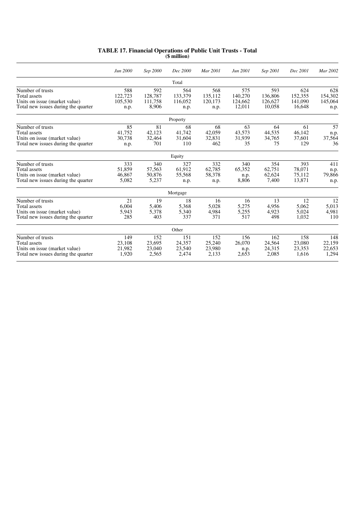| <b>TABLE 17. Financial Operations of Public Unit Trusts - Total</b><br>(\$ million) |
|-------------------------------------------------------------------------------------|
|-------------------------------------------------------------------------------------|

|                                                                                                          | Jun 2000                          | Sep 2000                           | Dec 2000                          | Mar 2001                          | Jun 2001                            | Sep 2001                            | Dec 2001                            | Mar 2002                          |
|----------------------------------------------------------------------------------------------------------|-----------------------------------|------------------------------------|-----------------------------------|-----------------------------------|-------------------------------------|-------------------------------------|-------------------------------------|-----------------------------------|
|                                                                                                          |                                   |                                    | Total                             |                                   |                                     |                                     |                                     |                                   |
| Number of trusts<br>Total assets<br>Units on issue (market value)<br>Total new issues during the quarter | 588<br>122,723<br>105,530<br>n.p. | 592<br>128,787<br>111,758<br>8,906 | 564<br>133,379<br>116,052<br>n.p. | 568<br>135,112<br>120,173<br>n.p. | 575<br>140,270<br>124,662<br>12,011 | 593<br>136,806<br>126,627<br>10,058 | 624<br>152,355<br>141,090<br>16,648 | 628<br>154,302<br>145,064<br>n.p. |
|                                                                                                          |                                   |                                    | Property                          |                                   |                                     |                                     |                                     |                                   |
| Number of trusts<br>Total assets<br>Units on issue (market value)<br>Total new issues during the quarter | 85<br>41.752<br>30,738<br>n.p.    | 81<br>42,123<br>32,464<br>701      | 68<br>41.742<br>31,604<br>110     | 68<br>42,059<br>32,831<br>462     | 63<br>43.573<br>31,939<br>35        | 64<br>44,535<br>34,765<br>75        | 61<br>46,142<br>37,601<br>129       | 57<br>n.p.<br>37,564<br>36        |
|                                                                                                          |                                   |                                    | Equity                            |                                   |                                     |                                     |                                     |                                   |
| Number of trusts<br>Total assets<br>Units on issue (market value)<br>Total new issues during the quarter | 333<br>51.859<br>46,867<br>5,082  | 340<br>57,563<br>50,876<br>5,237   | 327<br>61.912<br>55,568<br>n.p.   | 332<br>62.785<br>58,378<br>n.p.   | 340<br>65,352<br>n.p.<br>8,806      | 354<br>62.751<br>62,624<br>7,400    | 393<br>78.071<br>75,112<br>13,871   | 411<br>n.p.<br>79,866<br>n.p.     |
|                                                                                                          |                                   |                                    | Mortgage                          |                                   |                                     |                                     |                                     |                                   |
| Number of trusts<br>Total assets<br>Units on issue (market value)<br>Total new issues during the quarter | 21<br>6.004<br>5,943<br>285       | 19<br>5,406<br>5,378<br>403        | 18<br>5,368<br>5,340<br>337       | 16<br>5,028<br>4,984<br>371       | 16<br>5,275<br>5,255<br>517         | 13<br>4,956<br>4,923<br>498         | 12<br>5.062<br>5,024<br>1,032       | 12<br>5,013<br>4,981<br>110       |
|                                                                                                          |                                   |                                    | Other                             |                                   |                                     |                                     |                                     |                                   |
| Number of trusts<br>Total assets<br>Units on issue (market value)<br>Total new issues during the quarter | 149<br>23.108<br>21,982<br>1,920  | 152<br>23.695<br>23,040<br>2,565   | 151<br>24,357<br>23,540<br>2,474  | 152<br>25,240<br>23,980<br>2,133  | 156<br>26,070<br>n.p.<br>2,653      | 162<br>24,564<br>24,315<br>2,085    | 158<br>23,080<br>23,353<br>1,616    | 148<br>22.159<br>22,653<br>1,294  |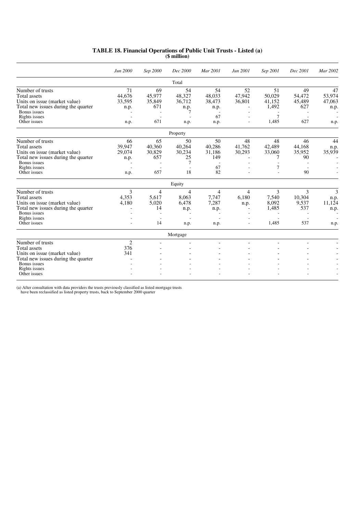|  | TABLE 18. Financial Operations of Public Unit Trusts - Listed (a) |  |  |  |
|--|-------------------------------------------------------------------|--|--|--|
|  | (\$ million)                                                      |  |  |  |

|                                     | Jun 2000 | Sep 2000                 | Dec 2000                 | Mar 2001                 | Jun 2001                 | Sep 2001 | Dec 2001                 | Mar 2002 |
|-------------------------------------|----------|--------------------------|--------------------------|--------------------------|--------------------------|----------|--------------------------|----------|
|                                     |          |                          | Total                    |                          |                          |          |                          |          |
| Number of trusts                    | 71       | 69                       | 54                       | 54                       | 52                       | 51       | 49                       | 47       |
| Total assets                        | 44.676   | 45.977                   | 48,327                   | 48.033                   | 47.942                   | 50.029   | 54.472                   | 53,974   |
| Units on issue (market value)       | 33,595   | 35,849                   | 36,712                   | 38,473                   | 36,801                   | 41,152   | 45,489                   | 47,063   |
| Total new issues during the quarter | n.p.     | 671                      | n.p.                     | n.p.                     |                          | 1,492    | 627                      | n.p.     |
| Bonus issues                        |          |                          |                          |                          |                          |          |                          |          |
| Rights issues                       |          |                          |                          | 67                       |                          | 7        |                          |          |
| Other issues                        | n.p.     | 671                      | n.p.                     | n.p.                     | ٠                        | 1,485    | 627                      | n.p.     |
|                                     |          |                          | Property                 |                          |                          |          |                          |          |
| Number of trusts                    | 66       | 65                       | 50                       | 50                       | 48                       | 48       | 46                       | 44       |
| <b>Total assets</b>                 | 39.947   | 40,360                   | 40,264                   | 40,286                   | 41.762                   | 42.489   | 44,168                   | n.p.     |
| Units on issue (market value)       | 29,074   | 30,829                   | 30,234                   | 31,186                   | 30,293                   | 33,060   | 35,952                   | 35,939   |
| Total new issues during the quarter | n.p.     | 657                      | 25                       | 149                      |                          | 7        | 90                       |          |
| Bonus issues                        |          |                          | $\overline{7}$           | $\sim$                   |                          |          |                          |          |
| Rights issues                       |          | $\overline{\phantom{a}}$ |                          | 67                       |                          | 7        |                          |          |
| Other issues                        | n.p.     | 657                      | 18                       | 82                       |                          |          | 90                       |          |
|                                     |          |                          | Equity                   |                          |                          |          |                          |          |
| Number of trusts                    | 3        | 4                        | $\overline{4}$           | 4                        | 4                        | 3        | 3                        | 3        |
| <b>Total</b> assets                 | 4,353    | 5,617                    | 8,063                    | 7,747                    | 6,180                    | 7,540    | 10,304                   | n.p.     |
| Units on issue (market value)       | 4,180    | 5.020                    | 6,478                    | 7,287                    | n.p.                     | 8,092    | 9,537                    | 11,124   |
| Total new issues during the quarter |          | 14                       | n.p.                     | n.p.                     | $\overline{\phantom{a}}$ | 1,485    | 537                      | n.p.     |
| Bonus issues                        |          |                          |                          |                          |                          |          |                          |          |
| Rights issues                       |          |                          |                          | $\overline{\phantom{a}}$ |                          |          |                          |          |
| Other issues                        |          | 14                       | n.p.                     | n.p.                     | $\overline{a}$           | 1.485    | 537                      | n.p.     |
|                                     |          |                          | Mortgage                 |                          |                          |          |                          |          |
| Number of trusts                    | 2        | $\overline{\phantom{a}}$ | $\overline{\phantom{a}}$ | $\overline{\phantom{a}}$ |                          |          | $\overline{\phantom{a}}$ |          |
| <b>Total assets</b>                 | 376      |                          |                          |                          |                          |          |                          |          |
| Units on issue (market value)       | 341      |                          |                          |                          |                          |          |                          |          |
| Total new issues during the quarter |          |                          |                          |                          |                          |          |                          |          |
| Bonus issues                        |          |                          |                          |                          |                          |          |                          |          |
| Rights issues                       |          |                          |                          |                          |                          |          |                          |          |
| Other issues                        |          |                          |                          |                          |                          |          |                          |          |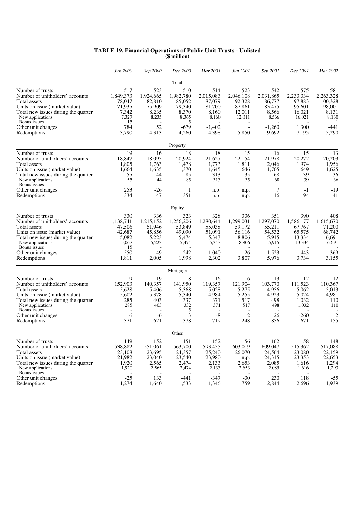| <b>TABLE 19. Financial Operations of Public Unit Trusts - Unlisted</b> |  |
|------------------------------------------------------------------------|--|
| (\$ million)                                                           |  |

|                                                                                                                                                                                                                      | Jun 2000                                                               | Sep 2000                                                             | Dec 2000                                                                | Mar 2001                                                                | Jun 2001                                                               | Sep 2001                                                             | Dec 2001                                                             | Mar 2002                                                                     |
|----------------------------------------------------------------------------------------------------------------------------------------------------------------------------------------------------------------------|------------------------------------------------------------------------|----------------------------------------------------------------------|-------------------------------------------------------------------------|-------------------------------------------------------------------------|------------------------------------------------------------------------|----------------------------------------------------------------------|----------------------------------------------------------------------|------------------------------------------------------------------------------|
|                                                                                                                                                                                                                      |                                                                        |                                                                      | Total                                                                   |                                                                         |                                                                        |                                                                      |                                                                      |                                                                              |
| Number of trusts<br>Number of unitholders' accounts<br>Total assets<br>Units on issue (market value)<br>Total new issues during the quarter<br>New applications<br>Bonus issues                                      | 517<br>1,849,373<br>78,047<br>71,935<br>7,342<br>7,327<br>15           | 523<br>1,924,665<br>82,810<br>75,909<br>8,235<br>8,235               | 510<br>1,982,780<br>85,052<br>79,340<br>8,370<br>8,365<br>5             | 514<br>2,015,083<br>87,079<br>81,700<br>8,160<br>8,160                  | 523<br>2,046,108<br>92,328<br>87,861<br>12,011<br>12,011               | 542<br>2,031,865<br>86,777<br>85,475<br>8,566<br>8,566               | 575<br>2,233,334<br>97,883<br>95,601<br>16,021<br>16,021             | 581<br>2,263,328<br>100.328<br>98,001<br>8,131<br>8,130<br>1                 |
| Other unit changes<br>Redemptions                                                                                                                                                                                    | 784<br>3,790                                                           | 52<br>4,313                                                          | $-679$<br>4,260                                                         | $-1,402$<br>4,398                                                       | $\overline{\phantom{a}}$<br>5,850                                      | $-1,260$<br>9,692                                                    | 1,300<br>7,195                                                       | $-441$<br>5,290                                                              |
|                                                                                                                                                                                                                      |                                                                        |                                                                      | Property                                                                |                                                                         |                                                                        |                                                                      |                                                                      |                                                                              |
| Number of trusts<br>Number of unitholders' accounts<br>Total assets<br>Units on issue (market value)<br>Total new issues during the quarter<br>New applications<br>Bonus issues<br>Other unit changes<br>Redemptions | 19<br>18,847<br>1,805<br>1,664<br>55<br>55<br>253<br>334               | 16<br>18,095<br>1,763<br>1,635<br>44<br>44<br>-26<br>47              | 18<br>20,924<br>1,478<br>1,370<br>85<br>85<br>$\mathbf{1}$<br>351       | 18<br>21,627<br>1,773<br>1,645<br>313<br>313<br>n.p.<br>n.p.            | 15<br>22,154<br>1,811<br>1,646<br>35<br>35<br>n.p.<br>n.p.             | 16<br>21,978<br>2,046<br>1,705<br>68<br>68<br>7<br>16                | 15<br>20,272<br>1,974<br>1,649<br>39<br>39<br>$-1$<br>94             | 13<br>20,203<br>1,956<br>1,625<br>36<br>36<br>$-19$<br>41                    |
|                                                                                                                                                                                                                      |                                                                        |                                                                      | Equity                                                                  |                                                                         |                                                                        |                                                                      |                                                                      |                                                                              |
| Number of trusts<br>Number of unitholders' accounts<br>Total assets<br>Units on issue (market value)<br>Total new issues during the quarter<br>New applications                                                      | 330<br>1,138,741<br>47,506<br>42,687<br>5,082<br>5,067                 | 336<br>1,215,152<br>51,946<br>45,856<br>5,223<br>5,223               | 323<br>1,256,206<br>53,849<br>49.090<br>5,474<br>5,474                  | 328<br>1,280,644<br>55,038<br>51,091<br>5,343<br>5,343                  | 336<br>1,299,031<br>59,172<br>56,116<br>8,806<br>8,806                 | 351<br>1,297,070<br>55,211<br>54,532<br>5,915<br>5,915               | 390<br>1,586,177<br>67,767<br>65,575<br>13,334<br>13,334             | 408<br>1.615.670<br>71,200<br>68,742<br>6,691<br>6,691                       |
| Bonus issues<br>Other unit changes<br>Redemptions                                                                                                                                                                    | 15<br>550<br>1,811                                                     | -49<br>2,005                                                         | $-242$<br>1,998                                                         | $-1,040$<br>2,302                                                       | 26<br>3,807                                                            | $-1,523$<br>5,976                                                    | 1,443<br>3,734                                                       | $-369$<br>3,155                                                              |
|                                                                                                                                                                                                                      |                                                                        |                                                                      | Mortgage                                                                |                                                                         |                                                                        |                                                                      |                                                                      |                                                                              |
| Number of trusts<br>Number of unitholders' accounts<br>Total assets<br>Units on issue (market value)<br>Total new issues during the quarter<br>New applications<br>Bonus issues<br>Other unit changes<br>Redemptions | 19<br>152,903<br>5,628<br>5,602<br>285<br>285<br>6<br>371              | 19<br>140,357<br>5,406<br>5,378<br>403<br>403<br>$-6$<br>621         | 18<br>141,950<br>5,368<br>5,340<br>337<br>332<br>5<br>3<br>378          | 16<br>119,357<br>5,028<br>4,984<br>371<br>371<br>$-8$<br>719            | 16<br>121,904<br>5,275<br>5,255<br>517<br>517<br>$\mathfrak{2}$<br>248 | 13<br>103,770<br>4,956<br>4,923<br>498<br>498<br>26<br>856           | 12<br>111,523<br>5,062<br>5,024<br>1.032<br>1,032<br>$-260$<br>671   | 12<br>110,367<br>5,013<br>4,981<br>110<br>110<br>$\overline{2}$<br>155       |
|                                                                                                                                                                                                                      |                                                                        |                                                                      | Other                                                                   |                                                                         |                                                                        |                                                                      |                                                                      |                                                                              |
| Number of trusts<br>Number of unitholders' accounts<br>Total assets<br>Units on issue (market value)<br>Total new issues during the quarter<br>New applications<br>Bonus issues<br>Other unit changes<br>Redemptions | 149<br>538,882<br>23,108<br>21,982<br>1,920<br>1,920<br>$-25$<br>1,274 | 152<br>551,061<br>23,695<br>23,040<br>2,565<br>2,565<br>133<br>1,640 | 151<br>563,700<br>24,357<br>23,540<br>2,474<br>2,474<br>$-441$<br>1,533 | 152<br>593,455<br>25,240<br>23,980<br>2,133<br>2,133<br>$-347$<br>1,346 | 156<br>603,019<br>26,070<br>n.p.<br>2,653<br>2,653<br>$-30$<br>1,759   | 162<br>609,047<br>24,564<br>24,315<br>2,085<br>2,085<br>230<br>2,844 | 158<br>515,362<br>23,080<br>23,353<br>1,616<br>1,616<br>118<br>2,696 | 148<br>517,088<br>22,159<br>22,653<br>1,294<br>1,293<br>-1<br>$-55$<br>1,939 |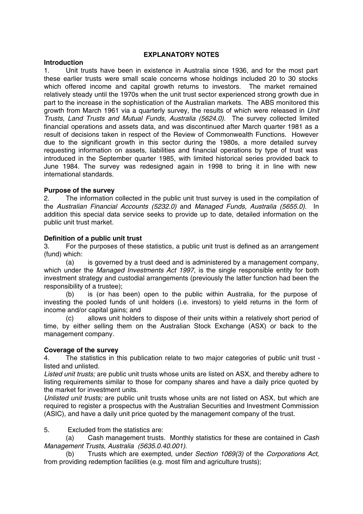### **EXPLANATORY NOTES**

### **Introduction**

1. Unit trusts have been in existence in Australia since 1936, and for the most part these earlier trusts were small scale concerns whose holdings included 20 to 30 stocks which offered income and capital growth returns to investors. The market remained relatively steady until the 1970s when the unit trust sector experienced strong growth due in part to the increase in the sophistication of the Australian markets. The ABS monitored this growth from March 1961 via a quarterly survey, the results of which were released in *Unit Trusts, Land Trusts and Mutual Funds, Australia (5624.0)*. The survey collected limited financial operations and assets data, and was discontinued after March quarter 1981 as a result of decisions taken in respect of the Review of Commonwealth Functions. However due to the significant growth in this sector during the 1980s, a more detailed survey requesting information on assets, liabilities and financial operations by type of trust was introduced in the September quarter 1985, with limited historical series provided back to June 1984. The survey was redesigned again in 1998 to bring it in line with new international standards.

### **Purpose of the survey**

2. The information collected in the public unit trust survey is used in the compilation of the *Australian Financial Accounts (5232.0)* and *Managed Funds, Australia (5655.0).* In addition this special data service seeks to provide up to date, detailed information on the public unit trust market.

### **Definition of a public unit trust**

3. For the purposes of these statistics, a public unit trust is defined as an arrangement (fund) which:

(a) is governed by a trust deed and is administered by a management company, which under the *Managed Investments Act 1997*, is the single responsible entity for both investment strategy and custodial arrangements (previously the latter function had been the responsibility of a trustee);

(b) is (or has been) open to the public within Australia, for the purpose of investing the pooled funds of unit holders (i.e. investors) to yield returns in the form of income and/or capital gains; and

(c) allows unit holders to dispose of their units within a relatively short period of time, by either selling them on the Australian Stock Exchange (ASX) or back to the management company.

### **Coverage of the survey**

4. The statistics in this publication relate to two major categories of public unit trust listed and unlisted.

*Listed unit trusts;* are public unit trusts whose units are listed on ASX, and thereby adhere to listing requirements similar to those for company shares and have a daily price quoted by the market for investment units.

*Unlisted unit trusts;* are public unit trusts whose units are not listed on ASX, but which are required to register a prospectus with the Australian Securities and Investment Commission (ASIC), and have a daily unit price quoted by the management company of the trust.

5. Excluded from the statistics are:

(a) Cash management trusts. Monthly statistics for these are contained in *Cash Management Trusts, Australia (5635.0.40.001)*.

(b) Trusts which are exempted, under *Section 1069(3)* of the *Corporations Act*, from providing redemption facilities (e.g. most film and agriculture trusts);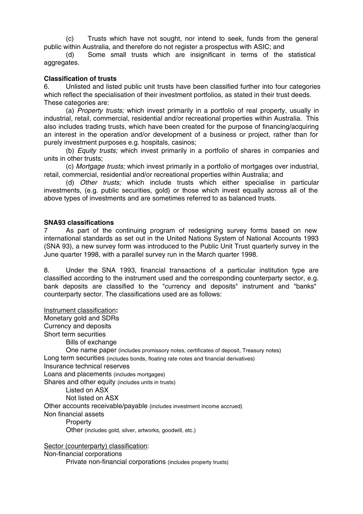(c) Trusts which have not sought, nor intend to seek, funds from the general public within Australia, and therefore do not register a prospectus with ASIC; and

(d) Some small trusts which are insignificant in terms of the statistical aggregates.

### **Classification of trusts**

6. Unlisted and listed public unit trusts have been classified further into four categories which reflect the specialisation of their investment portfolios, as stated in their trust deeds. These categories are:

(a) *Property trusts;* which invest primarily in a portfolio of real property, usually in industrial, retail, commercial, residential and/or recreational properties within Australia. This also includes trading trusts, which have been created for the purpose of financing/acquiring an interest in the operation and/or development of a business or project, rather than for purely investment purposes e.g. hospitals, casinos;

(b) *Equity trusts;* which invest primarily in a portfolio of shares in companies and units in other trusts;

(c) *Mortgage trusts;* which invest primarily in a portfolio of mortgages over industrial, retail, commercial, residential and/or recreational properties within Australia; and

(d) *Other trusts;* which include trusts which either specialise in particular investments, (e.g. public securities, gold) or those which invest equally across all of the above types of investments and are sometimes referred to as balanced trusts.

### **SNA93 classifications**

7 As part of the continuing program of redesigning survey forms based on new international standards as set out in the United Nations System of National Accounts 1993 (SNA 93), a new survey form was introduced to the Public Unit Trust quarterly survey in the June quarter 1998, with a parallel survey run in the March quarter 1998.

8. Under the SNA 1993, financial transactions of a particular institution type are classified according to the instrument used and the corresponding counterparty sector, e.g. bank deposits are classified to the "currency and deposits" instrument and "banks" counterparty sector. The classifications used are as follows:

Instrument classification**:** Monetary gold and SDRs Currency and deposits Short term securities Bills of exchange One name paper (includes promissory notes, certificates of deposit, Treasury notes) Long term securities (includes bonds, floating rate notes and financial derivatives) Insurance technical reserves Loans and placements (includes mortgages) Shares and other equity (includes units in trusts) Listed on ASX Not listed on ASX Other accounts receivable/payable (includes investment income accrued) Non financial assets Property Other (includes gold, silver, artworks, goodwill, etc.)

Sector (counterparty) classification: Non-financial corporations Private non-financial corporations (includes property trusts)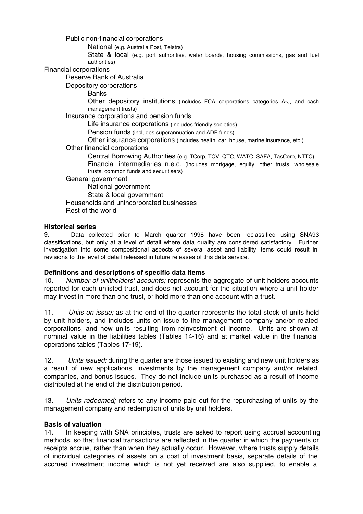Public non-financial corporations

National (e.g. Australia Post, Telstra)

State & local (e.g. port authorities, water boards, housing commissions, gas and fuel authorities)

Financial corporations

Reserve Bank of Australia

Depository corporations

**Banks** 

Other depository institutions (includes FCA corporations categories A-J, and cash management trusts)

Insurance corporations and pension funds

Life insurance corporations (includes friendly societies)

Pension funds (includes superannuation and ADF funds)

Other insurance corporations (includes health, car, house, marine insurance, etc.)

Other financial corporations

Central Borrowing Authorities (e.g. TCorp, TCV, QTC, WATC, SAFA, TasCorp, NTTC) Financial intermediaries n.e.c. (includes mortgage, equity, other trusts, wholesale trusts, common funds and securitisers)

General government

National government State & local government Households and unincorporated businesses Rest of the world

### **Historical series**

9. Data collected prior to March quarter 1998 have been reclassified using SNA93 classifications, but only at a level of detail where data quality are considered satisfactory. Further investigation into some compositional aspects of several asset and liability items could result in revisions to the level of detail released in future releases of this data service.

### **Definitions and descriptions of specific data items**

10. *Number of unitholders' accounts;* represents the aggregate of unit holders accounts reported for each unlisted trust, and does not account for the situation where a unit holder may invest in more than one trust, or hold more than one account with a trust.

11. *Units on issue;* as at the end of the quarter represents the total stock of units held by unit holders, and includes units on issue to the management company and/or related corporations, and new units resulting from reinvestment of income. Units are shown at nominal value in the liabilities tables (Tables 14-16) and at market value in the financial operations tables (Tables 17-19).

12. *Units issued;* during the quarter are those issued to existing and new unit holders as a result of new applications, investments by the management company and/or related companies, and bonus issues. They do not include units purchased as a result of income distributed at the end of the distribution period.

13. *Units redeemed;* refers to any income paid out for the repurchasing of units by the management company and redemption of units by unit holders.

### **Basis of valuation**

14. In keeping with SNA principles, trusts are asked to report using accrual accounting methods, so that financial transactions are reflected in the quarter in which the payments or receipts accrue, rather than when they actually occur. However, where trusts supply details of individual categories of assets on a cost of investment basis, separate details of the accrued investment income which is not yet received are also supplied, to enable a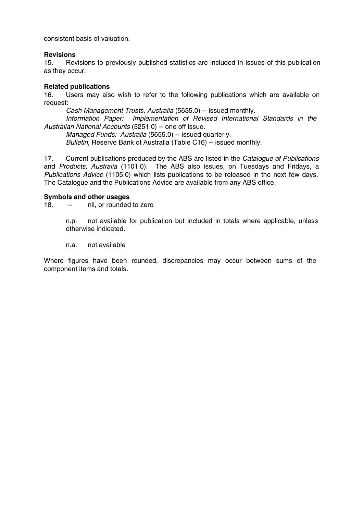consistent basis of valuation.

### **Revisions**

15. Revisions to previously published statistics are included in issues of this publication as they occur.

### **Related publications**

16. Users may also wish to refer to the following publications which are available on request:

*Cash Management Trusts, Australia* (5635.0) -- issued monthly.

*Information Paper: Implementation of Revised International Standards in the Australian National Accounts* (5251.0) -- one off issue.

*Managed Funds: Australia* (5655.0) -- issued quarterly. *Bulletin*, Reserve Bank of Australia (Table C16) -- issued monthly.

17. Current publications produced by the ABS are listed in the *Catalogue of Publications* and *Products, Australia* (1101.0). The ABS also issues, on Tuesdays and Fridays, a *Publications Advice* (1105.0) which lists publications to be released in the next few days. The Catalogue and the Publications Advice are available from any ABS office.

### **Symbols and other usages**

18. -- nil, or rounded to zero

n.p. not available for publication but included in totals where applicable, unless otherwise indicated.

n.a. not available

Where figures have been rounded, discrepancies may occur between sums of the component items and totals.